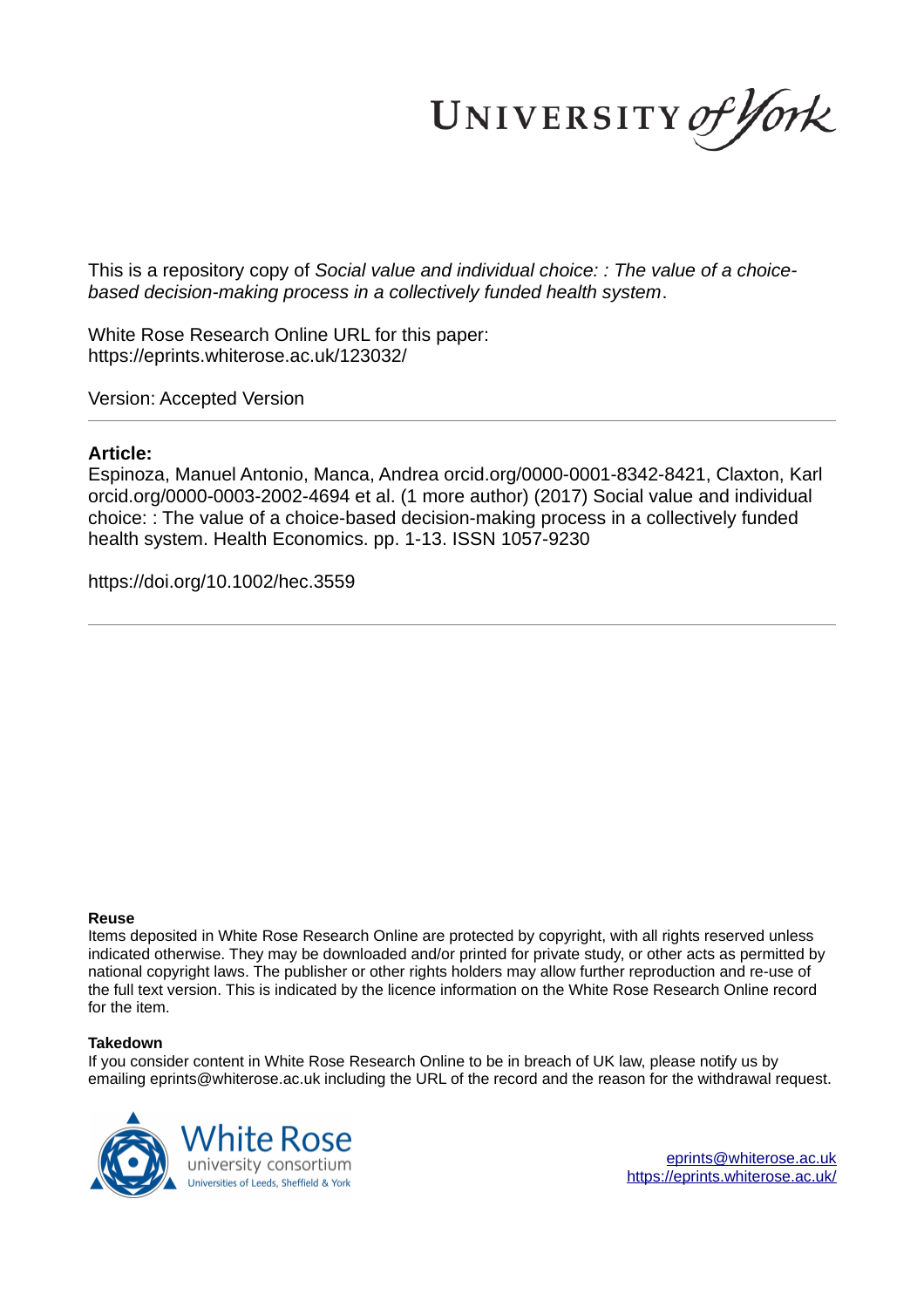UNIVERSITY of York

This is a repository copy of *Social value and individual choice: : The value of a choicebased decision-making process in a collectively funded health system*.

White Rose Research Online URL for this paper: https://eprints.whiterose.ac.uk/123032/

Version: Accepted Version

### **Article:**

Espinoza, Manuel Antonio, Manca, Andrea orcid.org/0000-0001-8342-8421, Claxton, Karl orcid.org/0000-0003-2002-4694 et al. (1 more author) (2017) Social value and individual choice: : The value of a choice-based decision-making process in a collectively funded health system. Health Economics. pp. 1-13. ISSN 1057-9230

https://doi.org/10.1002/hec.3559

#### **Reuse**

Items deposited in White Rose Research Online are protected by copyright, with all rights reserved unless indicated otherwise. They may be downloaded and/or printed for private study, or other acts as permitted by national copyright laws. The publisher or other rights holders may allow further reproduction and re-use of the full text version. This is indicated by the licence information on the White Rose Research Online record for the item.

#### **Takedown**

If you consider content in White Rose Research Online to be in breach of UK law, please notify us by emailing eprints@whiterose.ac.uk including the URL of the record and the reason for the withdrawal request.



eprints@whiterose.ac.uk https://eprints.whiterose.ac.uk/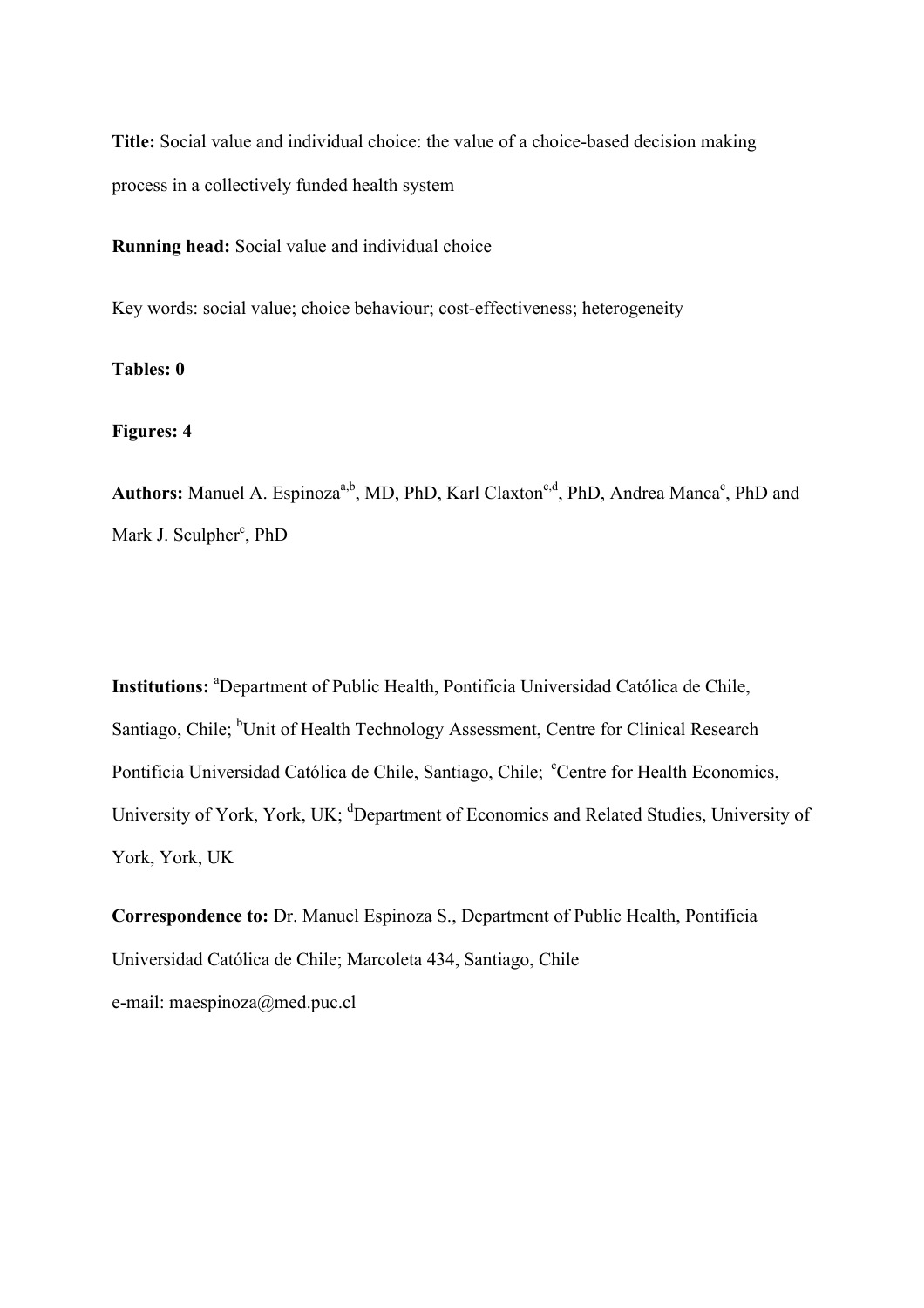**Title:** Social value and individual choice: the value of a choice-based decision making process in a collectively funded health system

**Running head:** Social value and individual choice

Key words: social value; choice behaviour; cost-effectiveness; heterogeneity

**Tables: 0** 

**Figures: 4** 

Authors: Manuel A. Espinoza<sup>a,b</sup>, MD, PhD, Karl Claxton<sup>c,d</sup>, PhD, Andrea Manca<sup>c</sup>, PhD and Mark J. Sculpher<sup>c</sup>, PhD

**Institutions:** <sup>a</sup>Department of Public Health, Pontificia Universidad Católica de Chile, Santiago, Chile; <sup>b</sup>Unit of Health Technology Assessment, Centre for Clinical Research Pontificia Universidad Católica de Chile, Santiago, Chile; <sup>c</sup>Centre for Health Economics, University of York, York, UK; <sup>d</sup>Department of Economics and Related Studies, University of York, York, UK

**Correspondence to:** Dr. Manuel Espinoza S., Department of Public Health, Pontificia Universidad Católica de Chile; Marcoleta 434, Santiago, Chile e-mail: maespinoza@med.puc.cl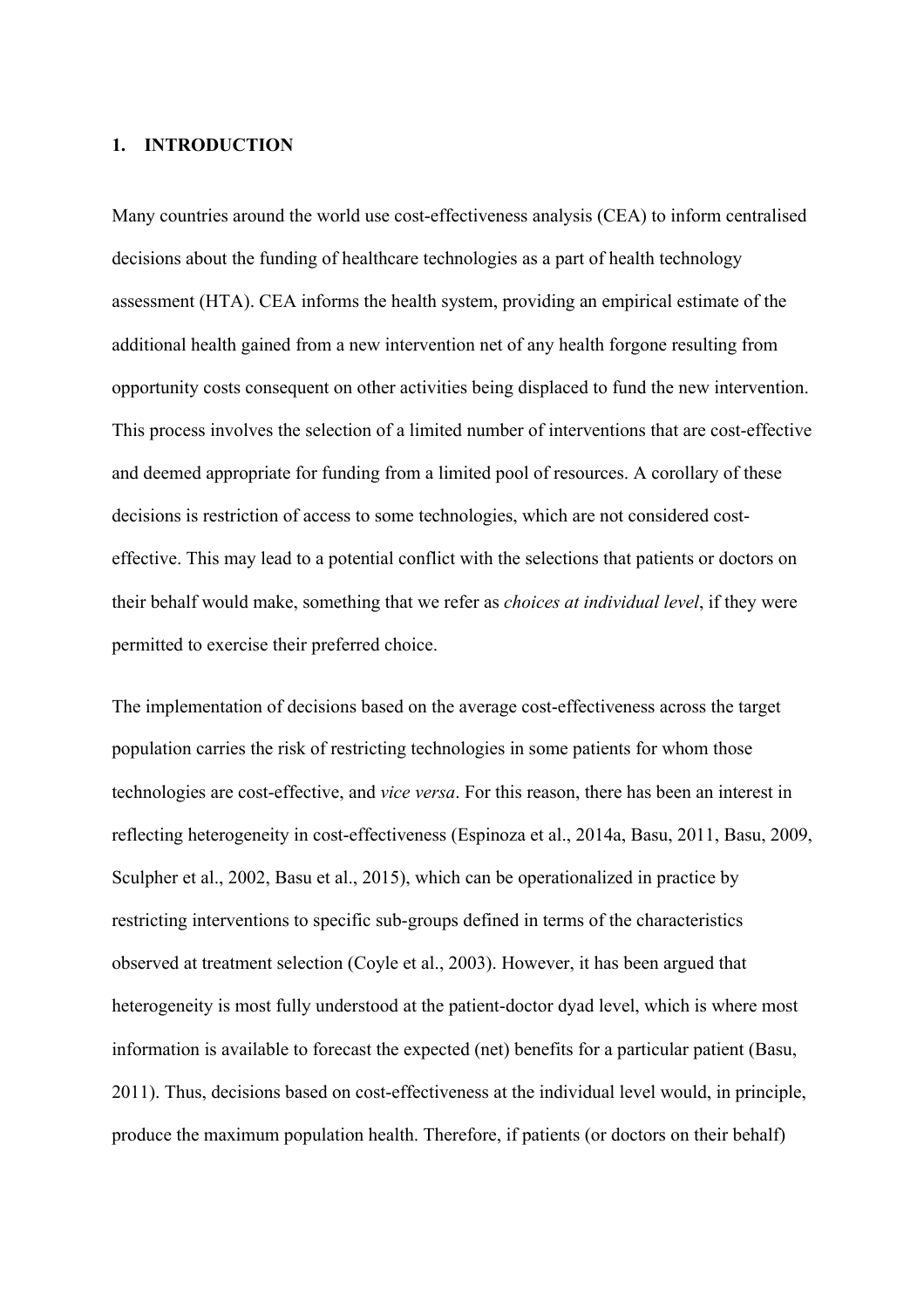## **1. INTRODUCTION**

Many countries around the world use cost-effectiveness analysis (CEA) to inform centralised decisions about the funding of healthcare technologies as a part of health technology assessment (HTA). CEA informs the health system, providing an empirical estimate of the additional health gained from a new intervention net of any health forgone resulting from opportunity costs consequent on other activities being displaced to fund the new intervention. This process involves the selection of a limited number of interventions that are cost-effective and deemed appropriate for funding from a limited pool of resources. A corollary of these decisions is restriction of access to some technologies, which are not considered costeffective. This may lead to a potential conflict with the selections that patients or doctors on their behalf would make, something that we refer as *choices at individual level*, if they were permitted to exercise their preferred choice.

The implementation of decisions based on the average cost-effectiveness across the target population carries the risk of restricting technologies in some patients for whom those technologies are cost-effective, and *vice versa*. For this reason, there has been an interest in reflecting heterogeneity in cost-effectiveness (Espinoza et al., 2014a, Basu, 2011, Basu, 2009, Sculpher et al., 2002, Basu et al., 2015), which can be operationalized in practice by restricting interventions to specific sub-groups defined in terms of the characteristics observed at treatment selection (Coyle et al., 2003). However, it has been argued that heterogeneity is most fully understood at the patient-doctor dyad level, which is where most information is available to forecast the expected (net) benefits for a particular patient (Basu, 2011). Thus, decisions based on cost-effectiveness at the individual level would, in principle, produce the maximum population health. Therefore, if patients (or doctors on their behalf)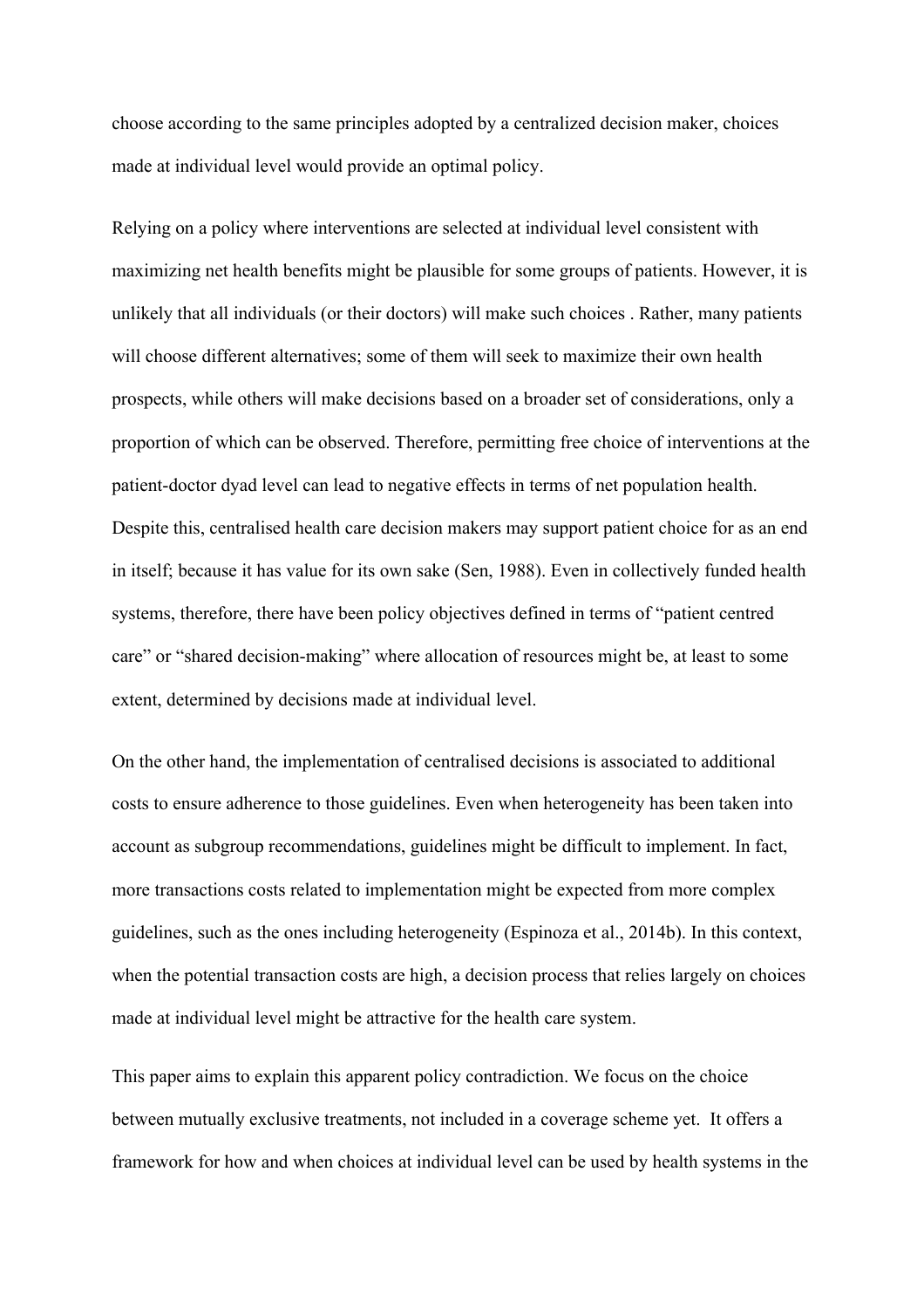choose according to the same principles adopted by a centralized decision maker, choices made at individual level would provide an optimal policy.

Relying on a policy where interventions are selected at individual level consistent with maximizing net health benefits might be plausible for some groups of patients. However, it is unlikely that all individuals (or their doctors) will make such choices . Rather, many patients will choose different alternatives; some of them will seek to maximize their own health prospects, while others will make decisions based on a broader set of considerations, only a proportion of which can be observed. Therefore, permitting free choice of interventions at the patient-doctor dyad level can lead to negative effects in terms of net population health. Despite this, centralised health care decision makers may support patient choice for as an end in itself; because it has value for its own sake (Sen, 1988). Even in collectively funded health systems, therefore, there have been policy objectives defined in terms of "patient centred care" or "shared decision-making" where allocation of resources might be, at least to some extent, determined by decisions made at individual level.

On the other hand, the implementation of centralised decisions is associated to additional costs to ensure adherence to those guidelines. Even when heterogeneity has been taken into account as subgroup recommendations, guidelines might be difficult to implement. In fact, more transactions costs related to implementation might be expected from more complex guidelines, such as the ones including heterogeneity (Espinoza et al., 2014b). In this context, when the potential transaction costs are high, a decision process that relies largely on choices made at individual level might be attractive for the health care system.

This paper aims to explain this apparent policy contradiction. We focus on the choice between mutually exclusive treatments, not included in a coverage scheme yet. It offers a framework for how and when choices at individual level can be used by health systems in the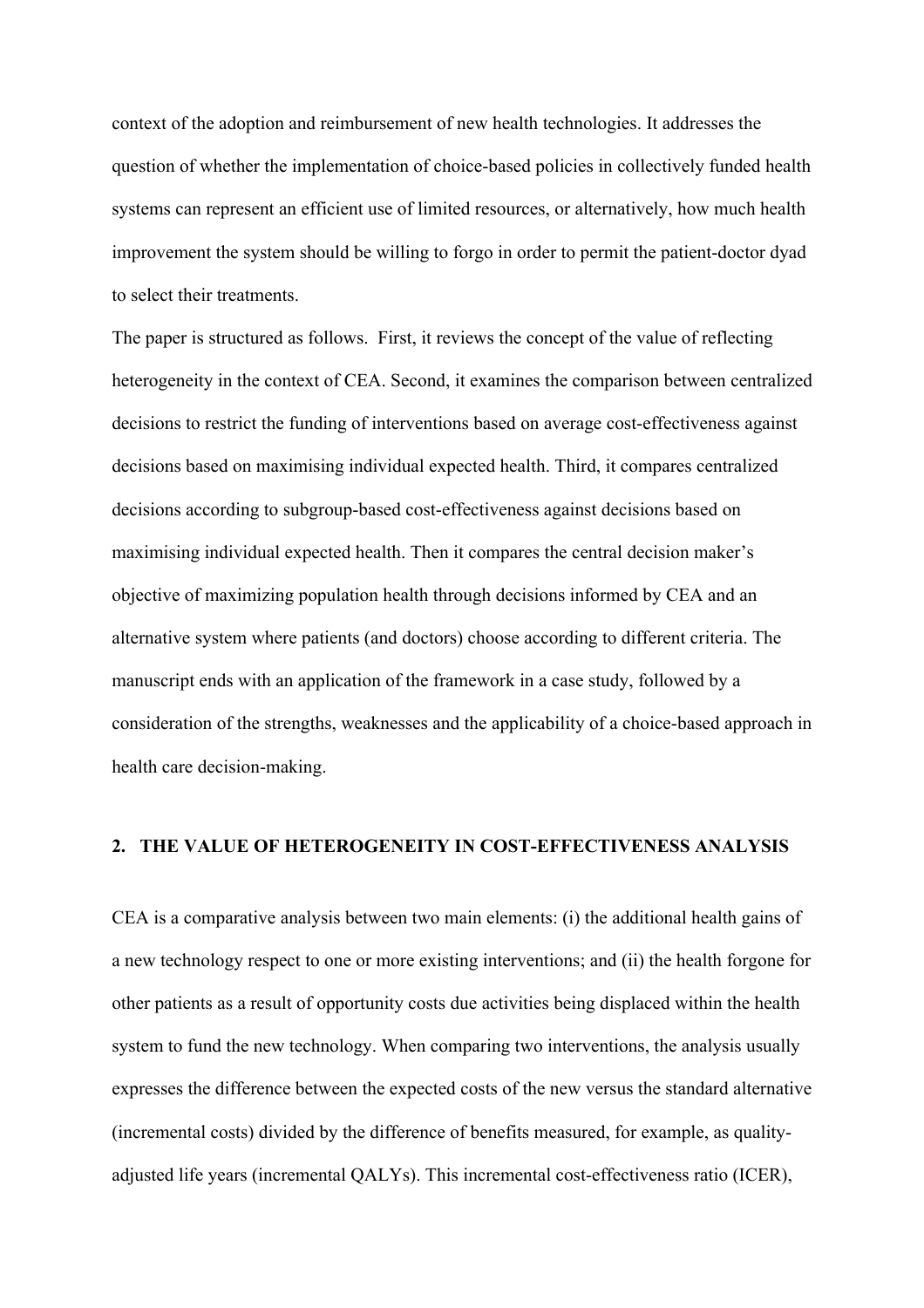context of the adoption and reimbursement of new health technologies. It addresses the question of whether the implementation of choice-based policies in collectively funded health systems can represent an efficient use of limited resources, or alternatively, how much health improvement the system should be willing to forgo in order to permit the patient-doctor dyad to select their treatments.

The paper is structured as follows. First, it reviews the concept of the value of reflecting heterogeneity in the context of CEA. Second, it examines the comparison between centralized decisions to restrict the funding of interventions based on average cost-effectiveness against decisions based on maximising individual expected health. Third, it compares centralized decisions according to subgroup-based cost-effectiveness against decisions based on maximising individual expected health. Then it compares the central decision maker's objective of maximizing population health through decisions informed by CEA and an alternative system where patients (and doctors) choose according to different criteria. The manuscript ends with an application of the framework in a case study, followed by a consideration of the strengths, weaknesses and the applicability of a choice-based approach in health care decision-making.

# **2. THE VALUE OF HETEROGENEITY IN COST-EFFECTIVENESS ANALYSIS**

CEA is a comparative analysis between two main elements: (i) the additional health gains of a new technology respect to one or more existing interventions; and (ii) the health forgone for other patients as a result of opportunity costs due activities being displaced within the health system to fund the new technology. When comparing two interventions, the analysis usually expresses the difference between the expected costs of the new versus the standard alternative (incremental costs) divided by the difference of benefits measured, for example, as qualityadjusted life years (incremental QALYs). This incremental cost-effectiveness ratio (ICER),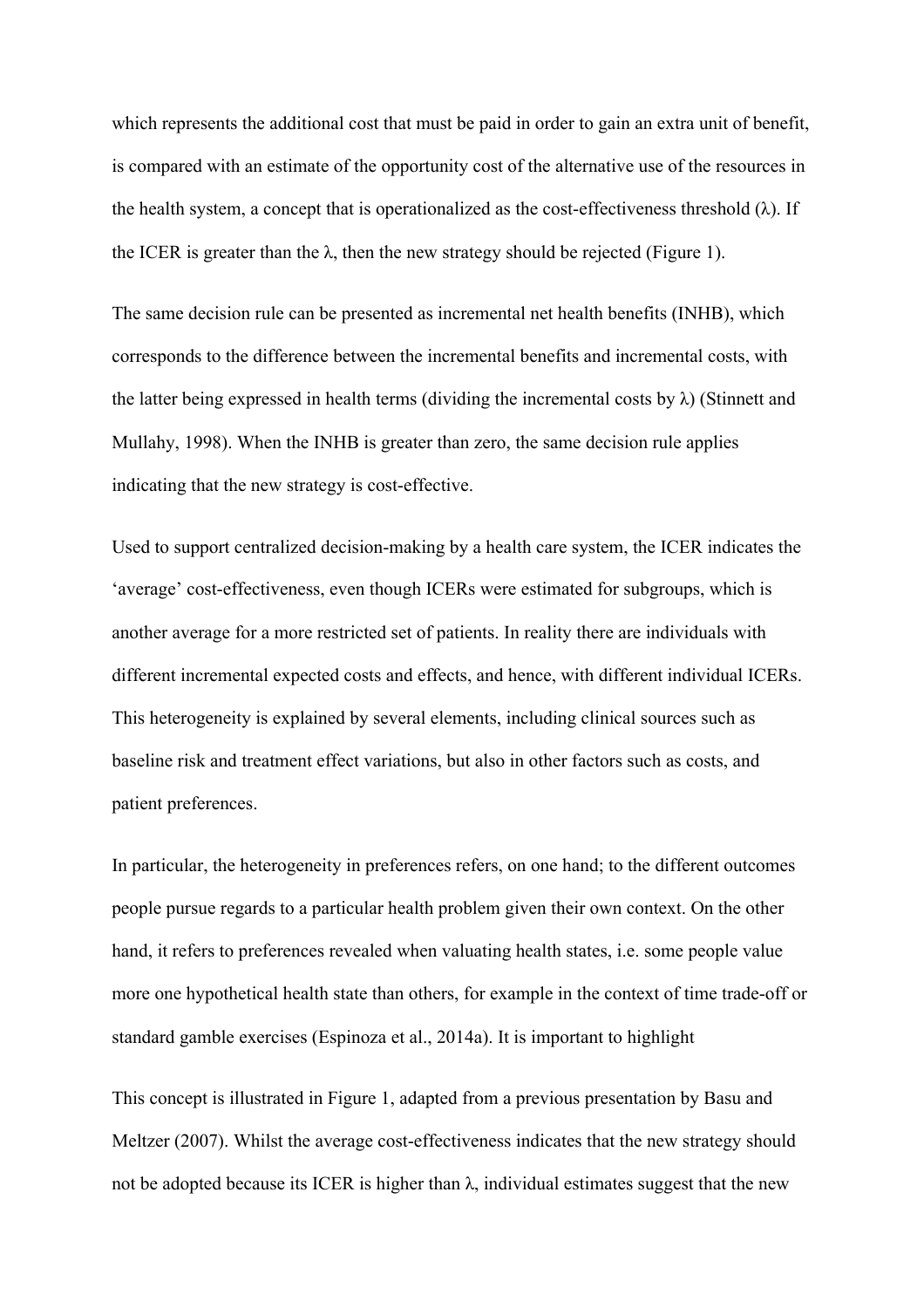which represents the additional cost that must be paid in order to gain an extra unit of benefit, is compared with an estimate of the opportunity cost of the alternative use of the resources in the health system, a concept that is operationalized as the cost-effectiveness threshold  $(\lambda)$ . If the ICER is greater than the  $\lambda$ , then the new strategy should be rejected (Figure 1).

The same decision rule can be presented as incremental net health benefits (INHB), which corresponds to the difference between the incremental benefits and incremental costs, with the latter being expressed in health terms (dividing the incremental costs by  $\lambda$ ) (Stinnett and Mullahy, 1998). When the INHB is greater than zero, the same decision rule applies indicating that the new strategy is cost-effective.

Used to support centralized decision-making by a health care system, the ICER indicates the 'average' cost-effectiveness, even though ICERs were estimated for subgroups, which is another average for a more restricted set of patients. In reality there are individuals with different incremental expected costs and effects, and hence, with different individual ICERs. This heterogeneity is explained by several elements, including clinical sources such as baseline risk and treatment effect variations, but also in other factors such as costs, and patient preferences.

In particular, the heterogeneity in preferences refers, on one hand; to the different outcomes people pursue regards to a particular health problem given their own context. On the other hand, it refers to preferences revealed when valuating health states, i.e. some people value more one hypothetical health state than others, for example in the context of time trade-off or standard gamble exercises (Espinoza et al., 2014a). It is important to highlight

This concept is illustrated in Figure 1, adapted from a previous presentation by Basu and Meltzer (2007). Whilst the average cost-effectiveness indicates that the new strategy should not be adopted because its ICER is higher than  $\lambda$ , individual estimates suggest that the new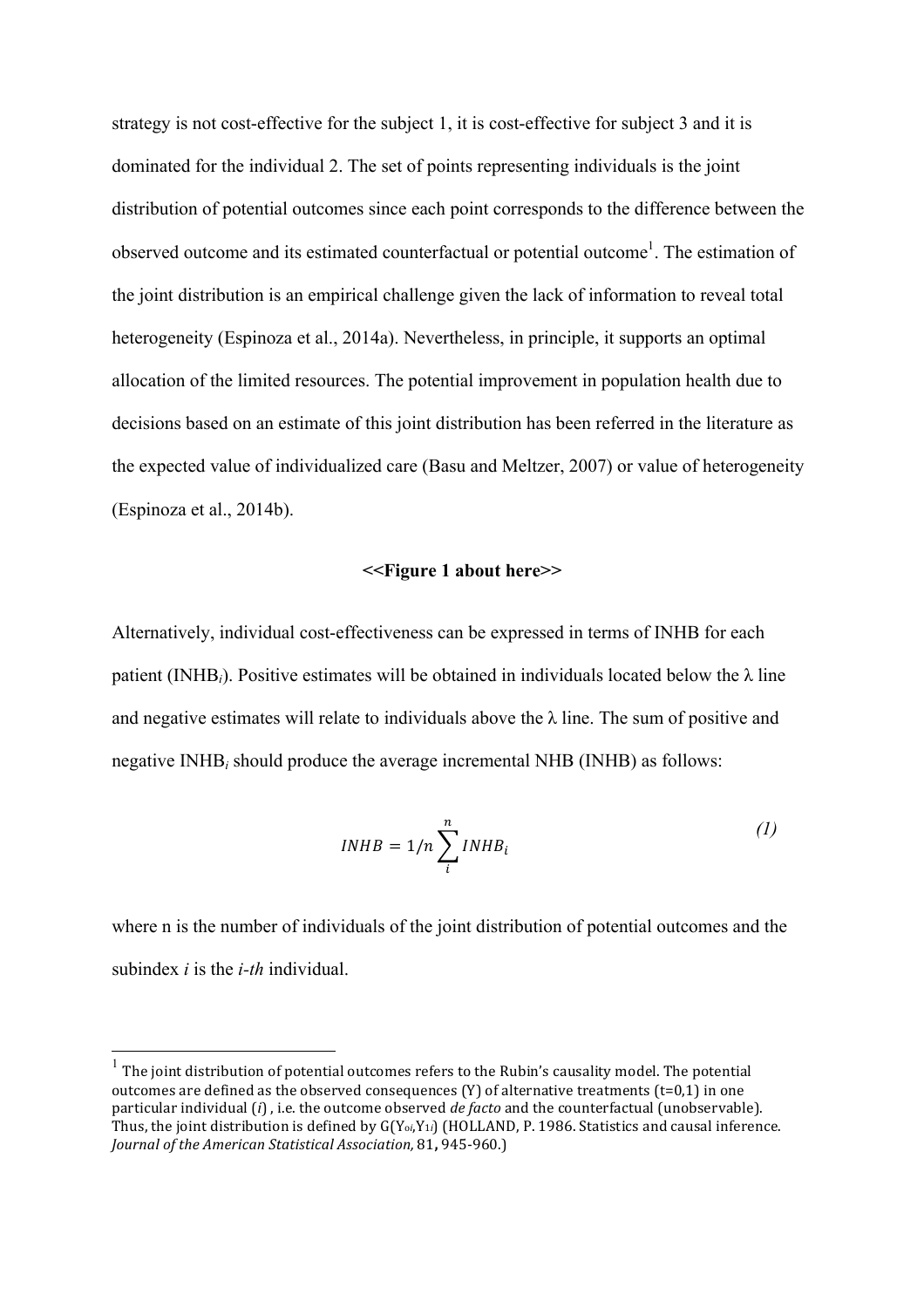strategy is not cost-effective for the subject 1, it is cost-effective for subject 3 and it is dominated for the individual 2. The set of points representing individuals is the joint distribution of potential outcomes since each point corresponds to the difference between the observed outcome and its estimated counterfactual or potential outcome<sup>1</sup>. The estimation of the joint distribution is an empirical challenge given the lack of information to reveal total heterogeneity (Espinoza et al., 2014a). Nevertheless, in principle, it supports an optimal allocation of the limited resources. The potential improvement in population health due to decisions based on an estimate of this joint distribution has been referred in the literature as the expected value of individualized care (Basu and Meltzer, 2007) or value of heterogeneity (Espinoza et al., 2014b).

## **<<Figure 1 about here>>**

Alternatively, individual cost-effectiveness can be expressed in terms of INHB for each patient (INHB<sub>i</sub>). Positive estimates will be obtained in individuals located below the  $\lambda$  line and negative estimates will relate to individuals above the  $\lambda$  line. The sum of positive and negative INHB*i* should produce the average incremental NHB (INHB) as follows:

$$
INHB = 1/n \sum_{i}^{n} INHB_{i}
$$
 (1)

where n is the number of individuals of the joint distribution of potential outcomes and the subindex *i* is the *i-th* individual.

 $\overline{a}$ 

 $^{\rm 1}$  The joint distribution of potential outcomes refers to the Rubin's causality model. The potential outcomes are defined as the observed consequences  $(Y)$  of alternative treatments  $(t=0,1)$  in one particular individual (*i*), i.e. the outcome observed *de facto* and the counterfactual (unobservable). Thus, the joint distribution is defined by G(Y<sub>oi</sub>,Y<sub>1i</sub>) (HOLLAND, P. 1986. Statistics and causal inference. *Journal of the American Statistical Association,* 81, 945-960.)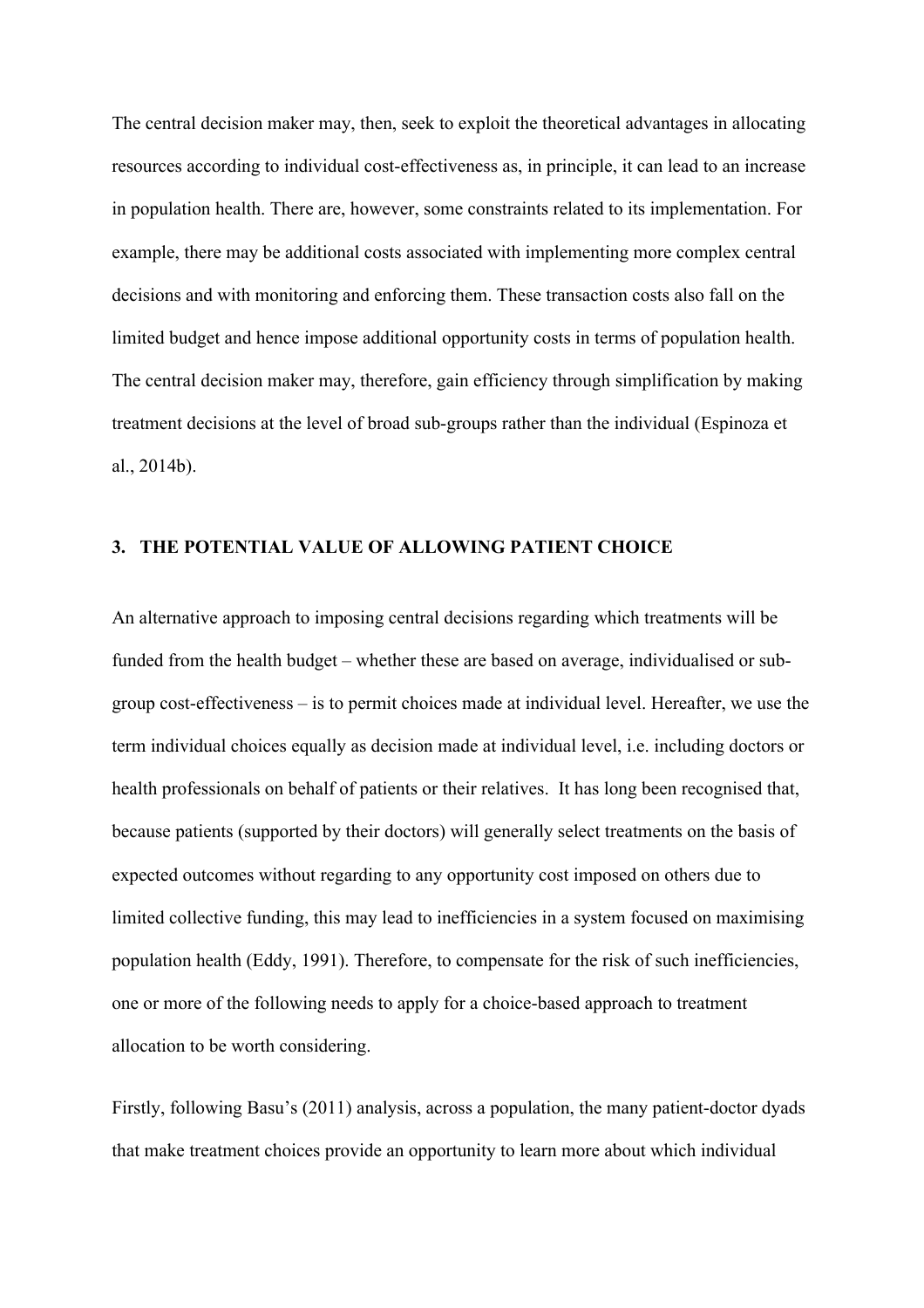The central decision maker may, then, seek to exploit the theoretical advantages in allocating resources according to individual cost-effectiveness as, in principle, it can lead to an increase in population health. There are, however, some constraints related to its implementation. For example, there may be additional costs associated with implementing more complex central decisions and with monitoring and enforcing them. These transaction costs also fall on the limited budget and hence impose additional opportunity costs in terms of population health. The central decision maker may, therefore, gain efficiency through simplification by making treatment decisions at the level of broad sub-groups rather than the individual (Espinoza et al., 2014b).

# **3. THE POTENTIAL VALUE OF ALLOWING PATIENT CHOICE**

An alternative approach to imposing central decisions regarding which treatments will be funded from the health budget – whether these are based on average, individualised or subgroup cost-effectiveness – is to permit choices made at individual level. Hereafter, we use the term individual choices equally as decision made at individual level, i.e. including doctors or health professionals on behalf of patients or their relatives. It has long been recognised that, because patients (supported by their doctors) will generally select treatments on the basis of expected outcomes without regarding to any opportunity cost imposed on others due to limited collective funding, this may lead to inefficiencies in a system focused on maximising population health (Eddy, 1991). Therefore, to compensate for the risk of such inefficiencies, one or more of the following needs to apply for a choice-based approach to treatment allocation to be worth considering.

Firstly, following Basu's (2011) analysis, across a population, the many patient-doctor dyads that make treatment choices provide an opportunity to learn more about which individual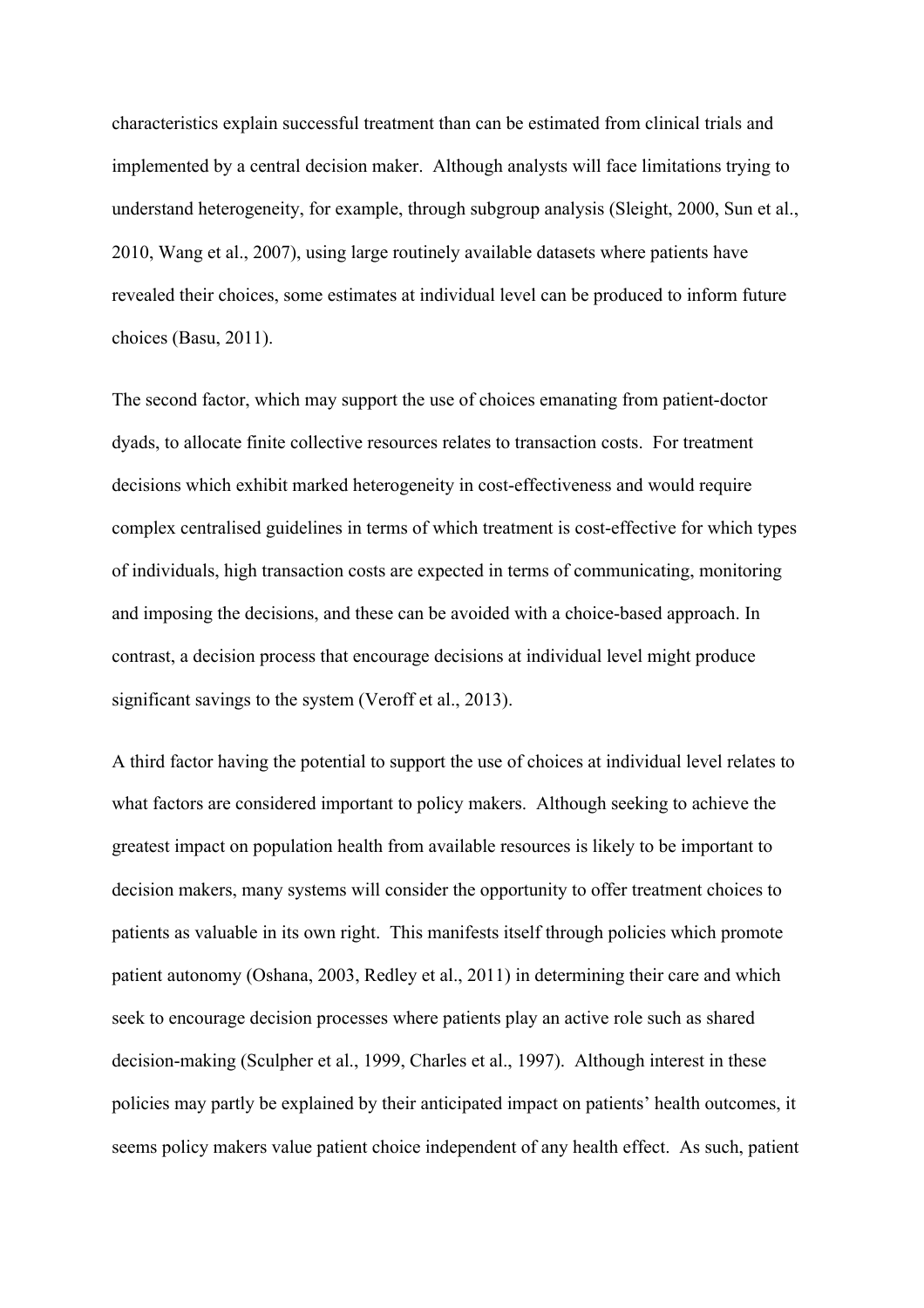characteristics explain successful treatment than can be estimated from clinical trials and implemented by a central decision maker. Although analysts will face limitations trying to understand heterogeneity, for example, through subgroup analysis (Sleight, 2000, Sun et al., 2010, Wang et al., 2007), using large routinely available datasets where patients have revealed their choices, some estimates at individual level can be produced to inform future choices (Basu, 2011).

The second factor, which may support the use of choices emanating from patient-doctor dyads, to allocate finite collective resources relates to transaction costs. For treatment decisions which exhibit marked heterogeneity in cost-effectiveness and would require complex centralised guidelines in terms of which treatment is cost-effective for which types of individuals, high transaction costs are expected in terms of communicating, monitoring and imposing the decisions, and these can be avoided with a choice-based approach. In contrast, a decision process that encourage decisions at individual level might produce significant savings to the system (Veroff et al., 2013).

A third factor having the potential to support the use of choices at individual level relates to what factors are considered important to policy makers. Although seeking to achieve the greatest impact on population health from available resources is likely to be important to decision makers, many systems will consider the opportunity to offer treatment choices to patients as valuable in its own right. This manifests itself through policies which promote patient autonomy (Oshana, 2003, Redley et al., 2011) in determining their care and which seek to encourage decision processes where patients play an active role such as shared decision-making (Sculpher et al., 1999, Charles et al., 1997). Although interest in these policies may partly be explained by their anticipated impact on patients' health outcomes, it seems policy makers value patient choice independent of any health effect. As such, patient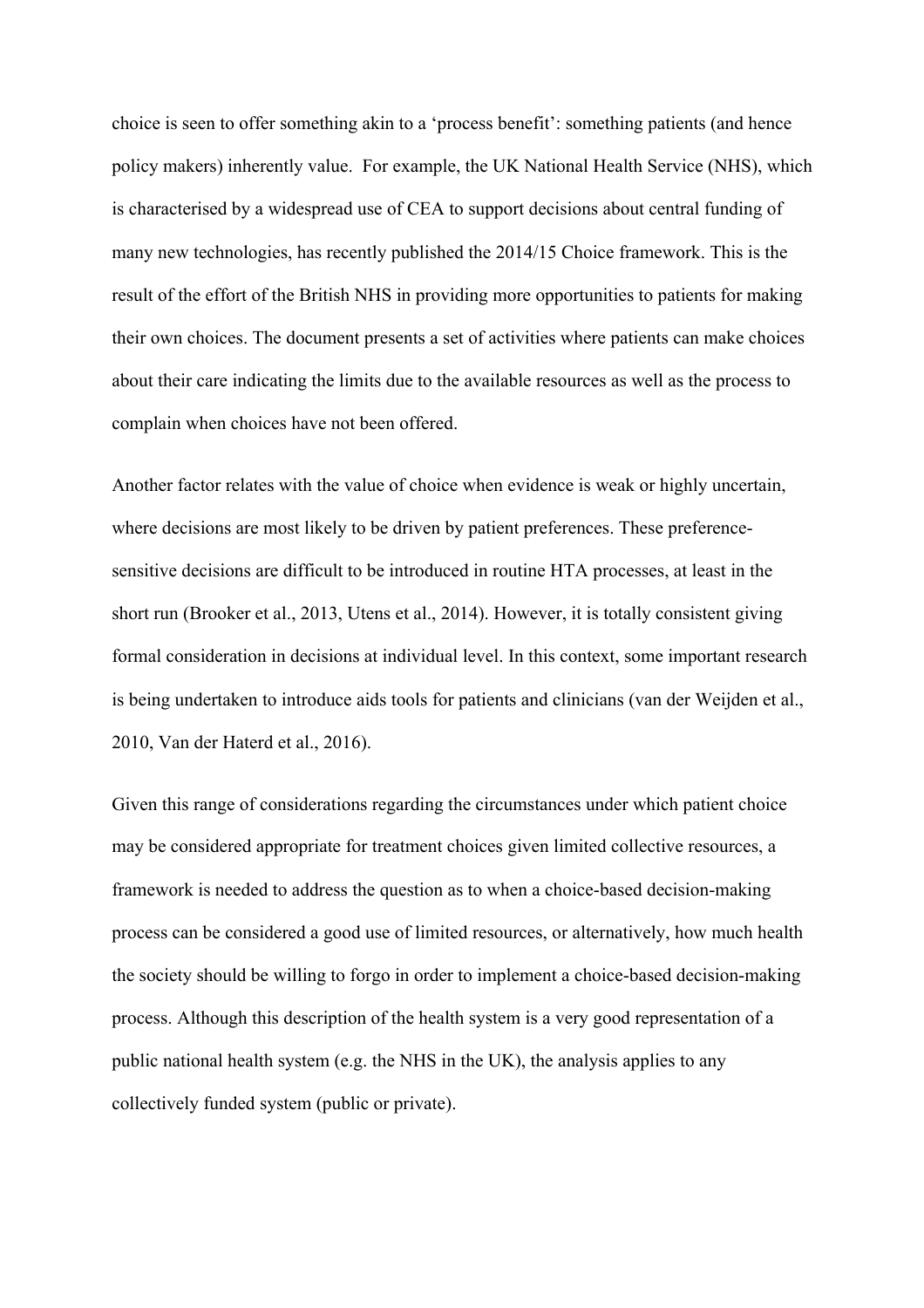choice is seen to offer something akin to a 'process benefit': something patients (and hence policy makers) inherently value. For example, the UK National Health Service (NHS), which is characterised by a widespread use of CEA to support decisions about central funding of many new technologies, has recently published the 2014/15 Choice framework. This is the result of the effort of the British NHS in providing more opportunities to patients for making their own choices. The document presents a set of activities where patients can make choices about their care indicating the limits due to the available resources as well as the process to complain when choices have not been offered.

Another factor relates with the value of choice when evidence is weak or highly uncertain, where decisions are most likely to be driven by patient preferences. These preferencesensitive decisions are difficult to be introduced in routine HTA processes, at least in the short run (Brooker et al., 2013, Utens et al., 2014). However, it is totally consistent giving formal consideration in decisions at individual level. In this context, some important research is being undertaken to introduce aids tools for patients and clinicians (van der Weijden et al., 2010, Van der Haterd et al., 2016).

Given this range of considerations regarding the circumstances under which patient choice may be considered appropriate for treatment choices given limited collective resources, a framework is needed to address the question as to when a choice-based decision-making process can be considered a good use of limited resources, or alternatively, how much health the society should be willing to forgo in order to implement a choice-based decision-making process. Although this description of the health system is a very good representation of a public national health system (e.g. the NHS in the UK), the analysis applies to any collectively funded system (public or private).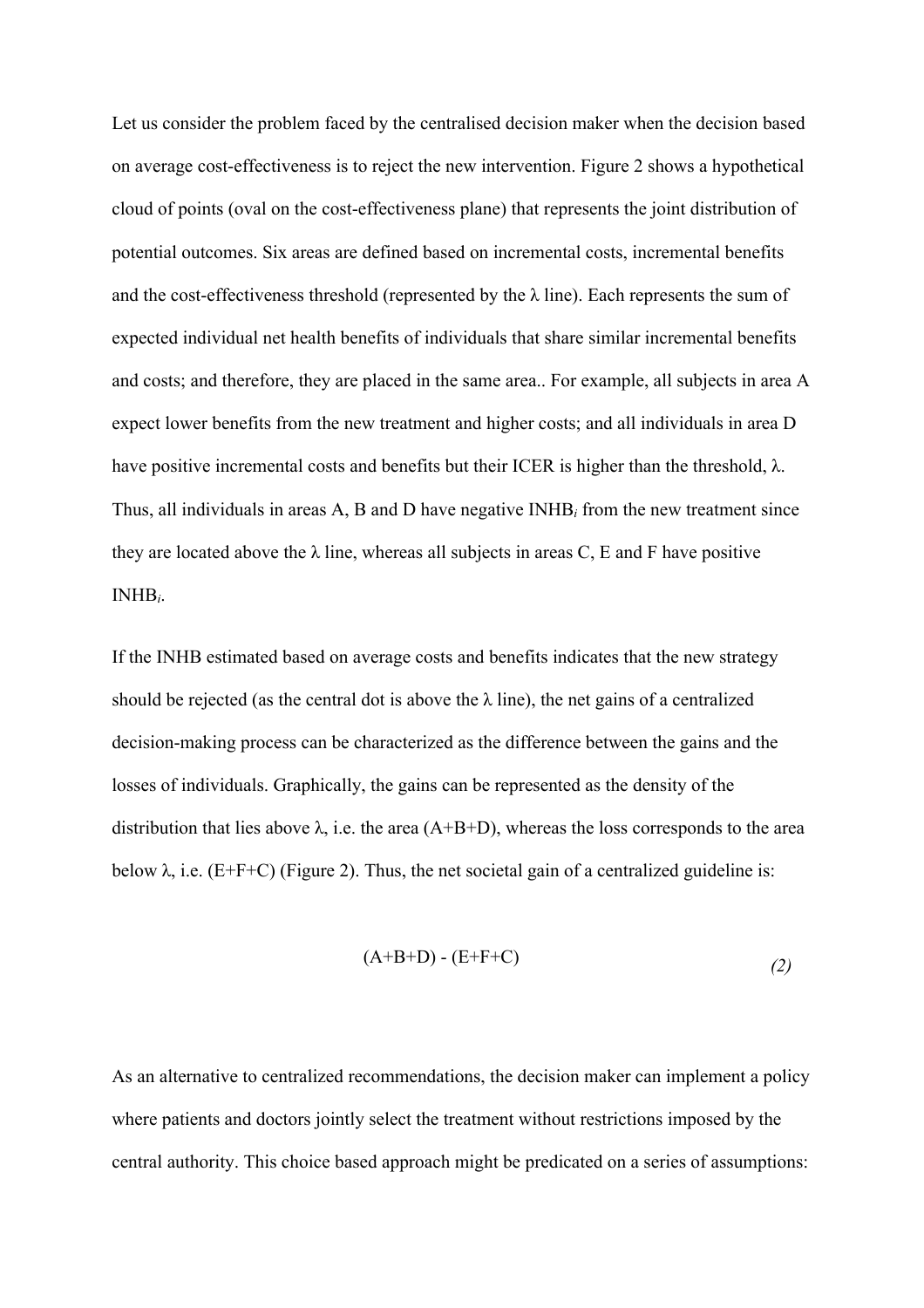Let us consider the problem faced by the centralised decision maker when the decision based on average cost-effectiveness is to reject the new intervention. Figure 2 shows a hypothetical cloud of points (oval on the cost-effectiveness plane) that represents the joint distribution of potential outcomes. Six areas are defined based on incremental costs, incremental benefits and the cost-effectiveness threshold (represented by the  $\lambda$  line). Each represents the sum of expected individual net health benefits of individuals that share similar incremental benefits and costs; and therefore, they are placed in the same area.. For example, all subjects in area A expect lower benefits from the new treatment and higher costs; and all individuals in area D have positive incremental costs and benefits but their ICER is higher than the threshold, λ. Thus, all individuals in areas A, B and D have negative INHB*i* from the new treatment since they are located above the  $\lambda$  line, whereas all subjects in areas C, E and F have positive INHB*i*.

If the INHB estimated based on average costs and benefits indicates that the new strategy should be rejected (as the central dot is above the  $\lambda$  line), the net gains of a centralized decision-making process can be characterized as the difference between the gains and the losses of individuals. Graphically, the gains can be represented as the density of the distribution that lies above  $\lambda$ , i.e. the area (A+B+D), whereas the loss corresponds to the area below  $\lambda$ , i.e. (E+F+C) (Figure 2). Thus, the net societal gain of a centralized guideline is:

$$
(A+B+D) - (E+F+C)
$$
 (2)

As an alternative to centralized recommendations, the decision maker can implement a policy where patients and doctors jointly select the treatment without restrictions imposed by the central authority. This choice based approach might be predicated on a series of assumptions: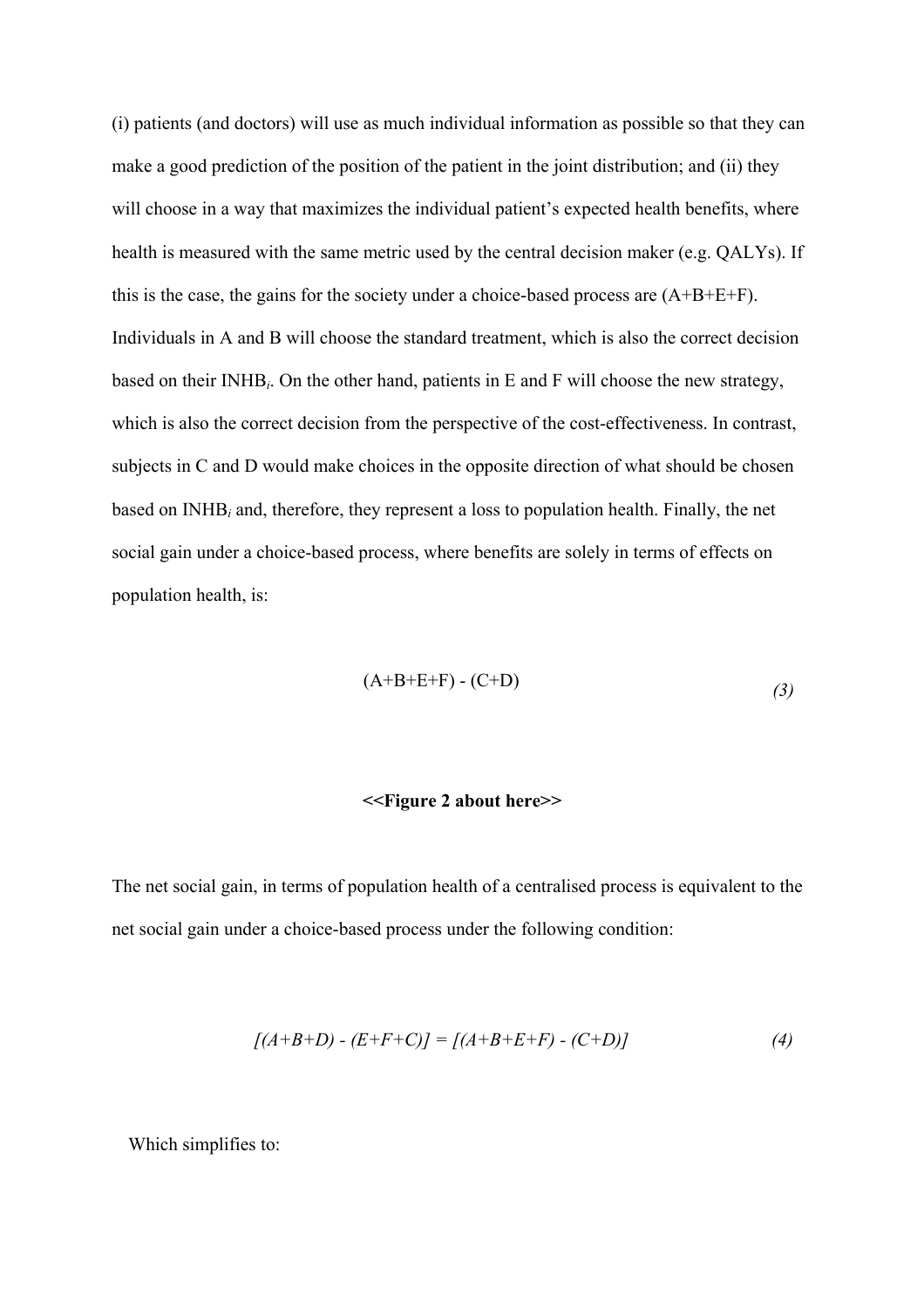(i) patients (and doctors) will use as much individual information as possible so that they can make a good prediction of the position of the patient in the joint distribution; and (ii) they will choose in a way that maximizes the individual patient's expected health benefits, where health is measured with the same metric used by the central decision maker (e.g. QALYs). If this is the case, the gains for the society under a choice-based process are (A+B+E+F). Individuals in A and B will choose the standard treatment, which is also the correct decision based on their INHB*i*. On the other hand, patients in E and F will choose the new strategy, which is also the correct decision from the perspective of the cost-effectiveness. In contrast, subjects in C and D would make choices in the opposite direction of what should be chosen based on INHB*i* and, therefore, they represent a loss to population health. Finally, the net social gain under a choice-based process, where benefits are solely in terms of effects on population health, is:

$$
(A+B+E+F) - (C+D) \tag{3}
$$

### **<<Figure 2 about here>>**

The net social gain, in terms of population health of a centralised process is equivalent to the net social gain under a choice-based process under the following condition:

$$
[(A+B+D) - (E+F+C)] = [(A+B+E+F) - (C+D)] \tag{4}
$$

Which simplifies to: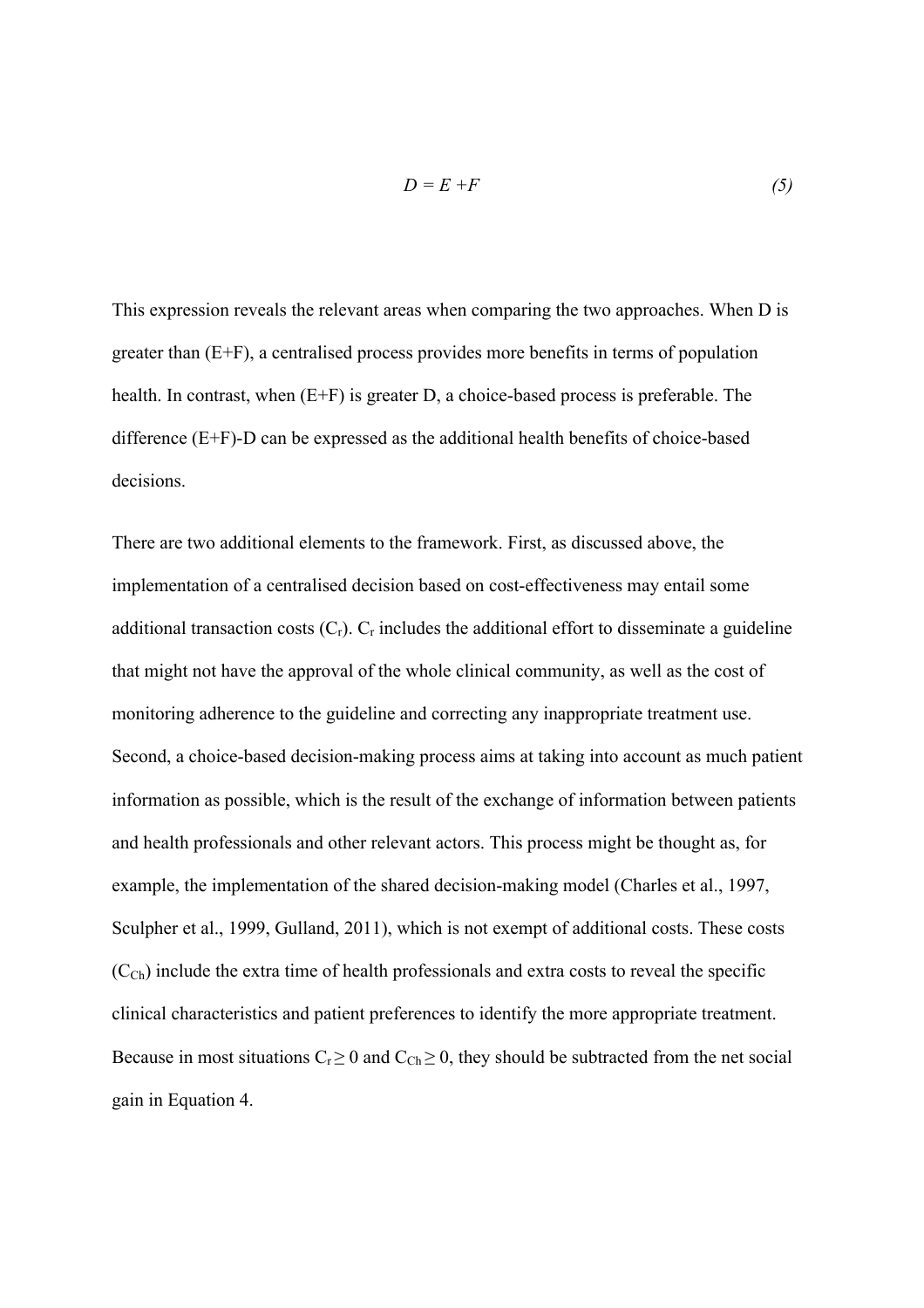$$
D = E + F \tag{5}
$$

This expression reveals the relevant areas when comparing the two approaches. When D is greater than (E+F), a centralised process provides more benefits in terms of population health. In contrast, when (E+F) is greater D, a choice-based process is preferable. The difference (E+F)-D can be expressed as the additional health benefits of choice-based decisions.

There are two additional elements to the framework. First, as discussed above, the implementation of a centralised decision based on cost-effectiveness may entail some additional transaction costs  $(C_r)$ .  $C_r$  includes the additional effort to disseminate a guideline that might not have the approval of the whole clinical community, as well as the cost of monitoring adherence to the guideline and correcting any inappropriate treatment use. Second, a choice-based decision-making process aims at taking into account as much patient information as possible, which is the result of the exchange of information between patients and health professionals and other relevant actors. This process might be thought as, for example, the implementation of the shared decision-making model (Charles et al., 1997, Sculpher et al., 1999, Gulland, 2011), which is not exempt of additional costs. These costs  $(C_{Ch})$  include the extra time of health professionals and extra costs to reveal the specific clinical characteristics and patient preferences to identify the more appropriate treatment. Because in most situations  $C_r \geq 0$  and  $C_{Ch} \geq 0$ , they should be subtracted from the net social gain in Equation 4.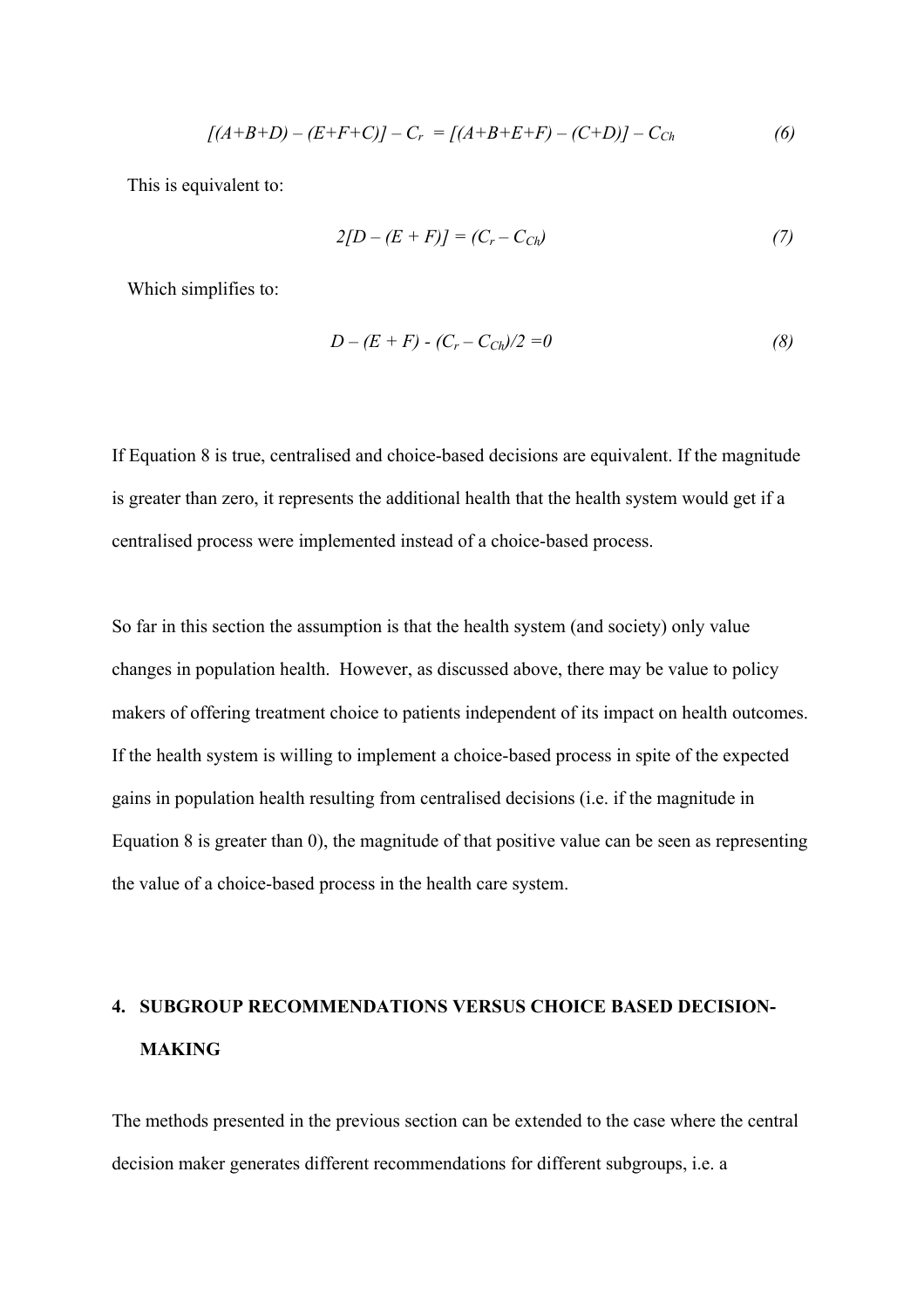$$
[(A+B+D)-(E+F+C)]-C_r = [(A+B+E+F)-(C+D)]-C_{Ch}
$$
\n(6)

This is equivalent to:

$$
2[D - (E + F)] = (C_r - C_{Ch})
$$
\n(7)

Which simplifies to:

$$
D - (E + F) - (C_r - C_{Ch})/2 = 0 \tag{8}
$$

If Equation 8 is true, centralised and choice-based decisions are equivalent. If the magnitude is greater than zero, it represents the additional health that the health system would get if a centralised process were implemented instead of a choice-based process.

So far in this section the assumption is that the health system (and society) only value changes in population health. However, as discussed above, there may be value to policy makers of offering treatment choice to patients independent of its impact on health outcomes. If the health system is willing to implement a choice-based process in spite of the expected gains in population health resulting from centralised decisions (i.e. if the magnitude in Equation 8 is greater than 0), the magnitude of that positive value can be seen as representing the value of a choice-based process in the health care system.

# **4. SUBGROUP RECOMMENDATIONS VERSUS CHOICE BASED DECISION-MAKING**

The methods presented in the previous section can be extended to the case where the central decision maker generates different recommendations for different subgroups, i.e. a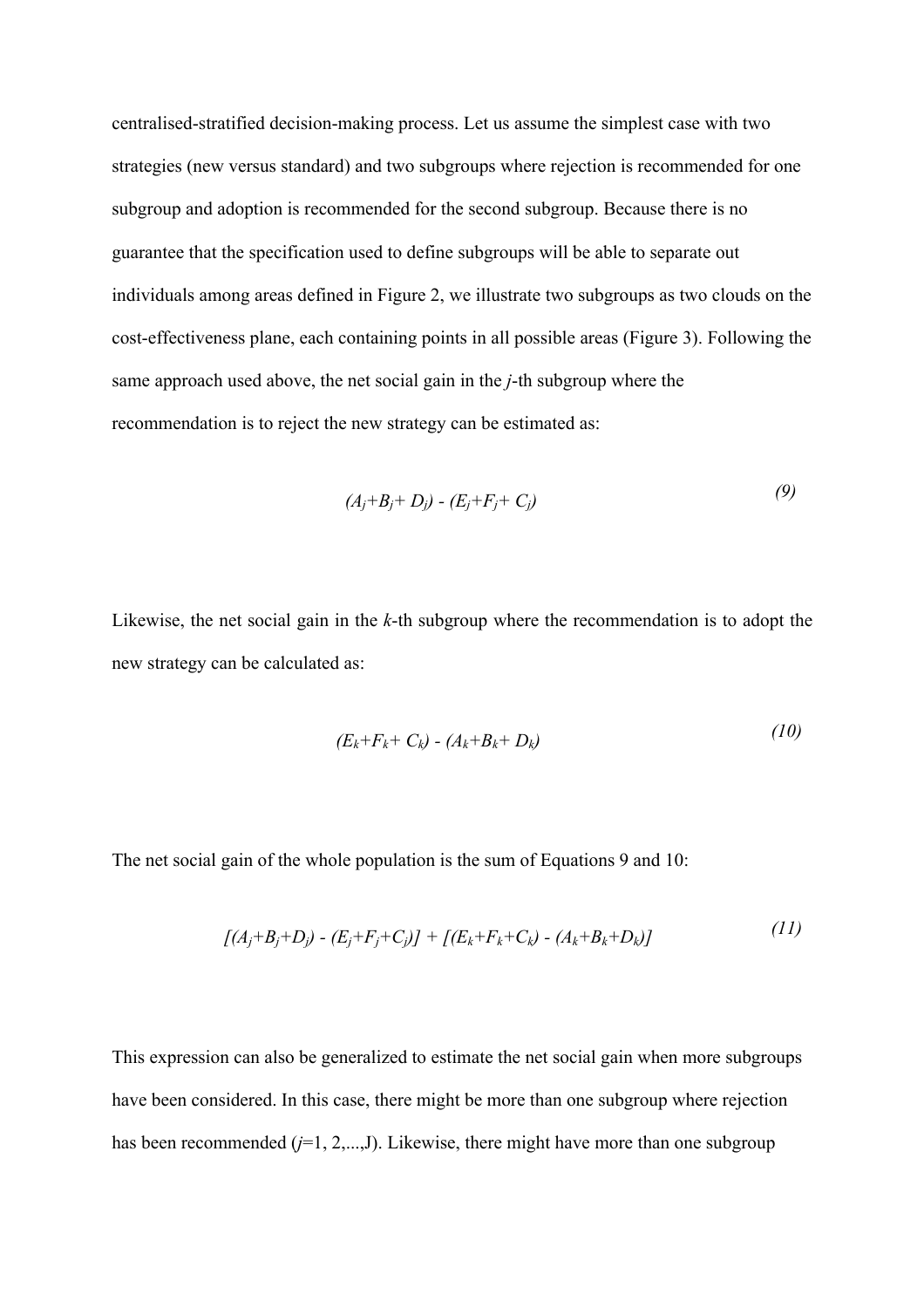centralised-stratified decision-making process. Let us assume the simplest case with two strategies (new versus standard) and two subgroups where rejection is recommended for one subgroup and adoption is recommended for the second subgroup. Because there is no guarantee that the specification used to define subgroups will be able to separate out individuals among areas defined in Figure 2, we illustrate two subgroups as two clouds on the cost-effectiveness plane, each containing points in all possible areas (Figure 3). Following the same approach used above, the net social gain in the *j*-th subgroup where the recommendation is to reject the new strategy can be estimated as:

$$
(A_j + B_j + D_j) - (E_j + F_j + C_j)
$$
\n(9)

Likewise, the net social gain in the *k*-th subgroup where the recommendation is to adopt the new strategy can be calculated as:

$$
(E_k + F_k + C_k) - (A_k + B_k + D_k)
$$
 (10)

The net social gain of the whole population is the sum of Equations 9 and 10:

$$
[(A_j + B_j + D_j) - (E_j + F_j + C_j)] + [(E_k + F_k + C_k) - (A_k + B_k + D_k)]
$$
\n(11)

This expression can also be generalized to estimate the net social gain when more subgroups have been considered. In this case, there might be more than one subgroup where rejection has been recommended  $(j=1, 2,...,J)$ . Likewise, there might have more than one subgroup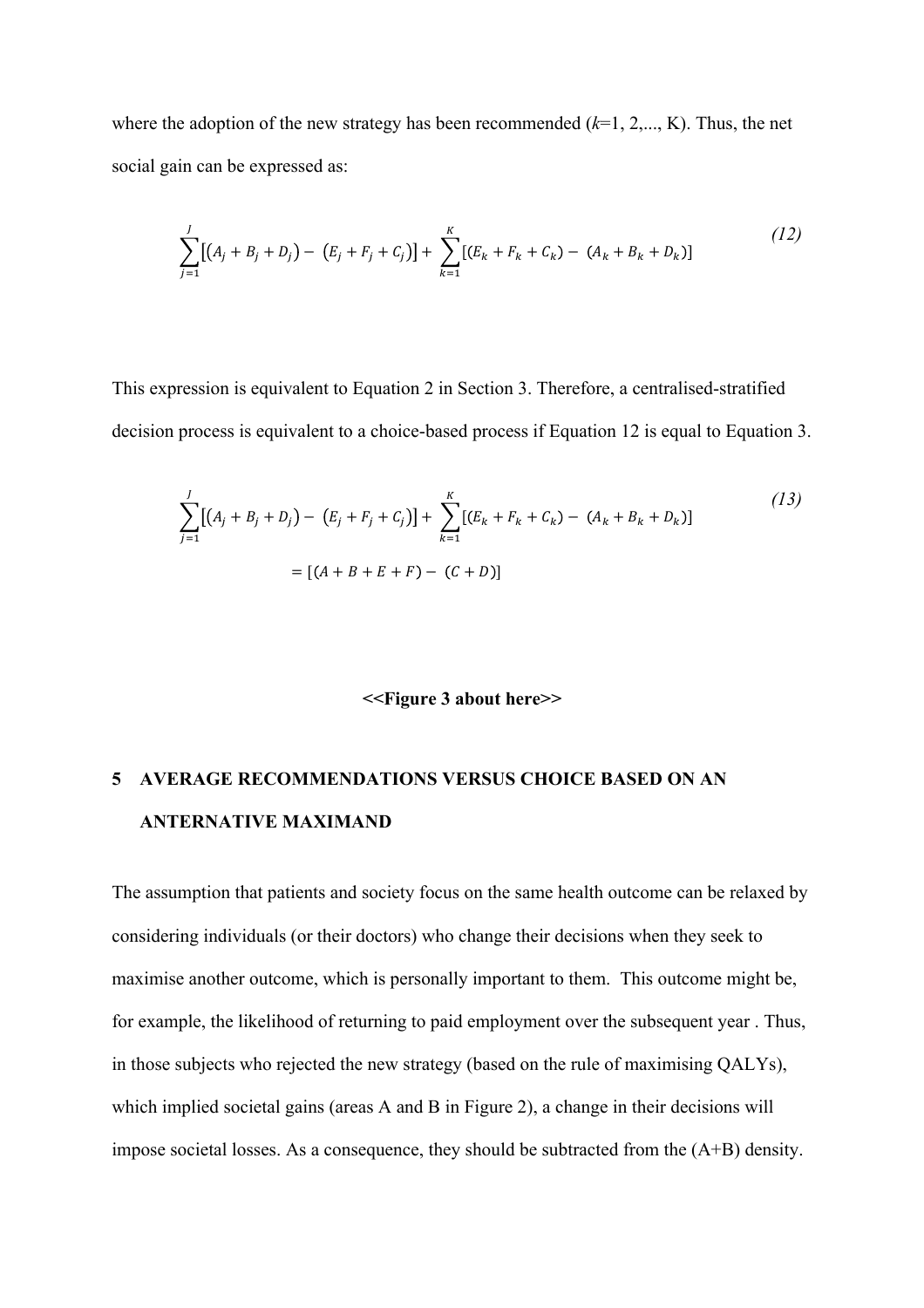where the adoption of the new strategy has been recommended (*k*=1, 2,..., K). Thus, the net social gain can be expressed as:

$$
\sum_{j=1}^{J} [(A_j + B_j + D_j) - (E_j + F_j + C_j)] + \sum_{k=1}^{K} [(E_k + F_k + C_k) - (A_k + B_k + D_k)]
$$
\n(12)

This expression is equivalent to Equation 2 in Section 3. Therefore, a centralised-stratified decision process is equivalent to a choice-based process if Equation 12 is equal to Equation 3.

$$
\sum_{j=1}^{J} [(A_j + B_j + D_j) - (E_j + F_j + C_j)] + \sum_{k=1}^{K} [(E_k + F_k + C_k) - (A_k + B_k + D_k)]
$$
\n
$$
= [(A + B + E + F) - (C + D)]
$$
\n(13)

### **<<Figure 3 about here>>**

# **5 AVERAGE RECOMMENDATIONS VERSUS CHOICE BASED ON AN ANTERNATIVE MAXIMAND**

The assumption that patients and society focus on the same health outcome can be relaxed by considering individuals (or their doctors) who change their decisions when they seek to maximise another outcome, which is personally important to them. This outcome might be, for example, the likelihood of returning to paid employment over the subsequent year . Thus, in those subjects who rejected the new strategy (based on the rule of maximising QALYs), which implied societal gains (areas A and B in Figure 2), a change in their decisions will impose societal losses. As a consequence, they should be subtracted from the (A+B) density.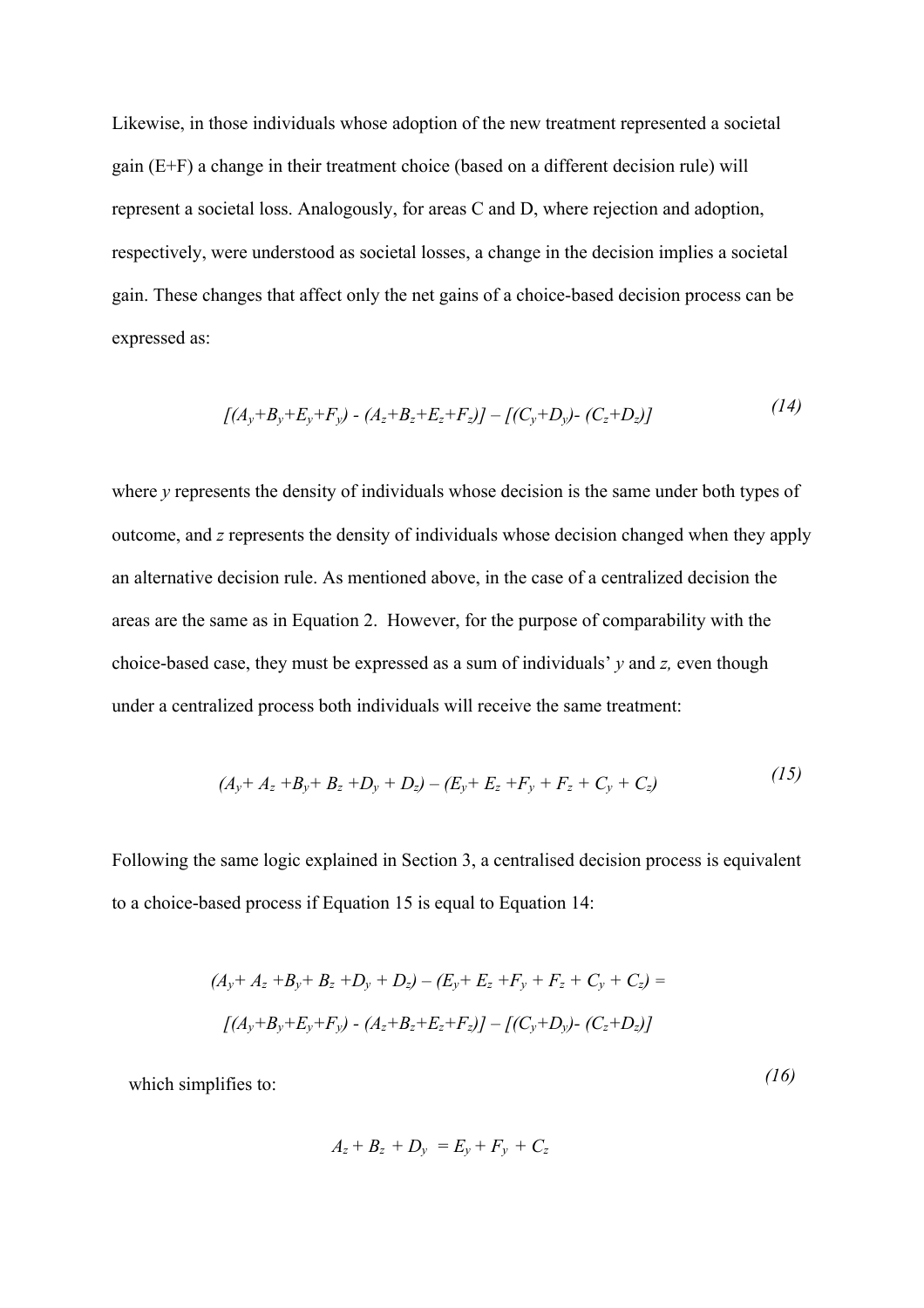Likewise, in those individuals whose adoption of the new treatment represented a societal gain (E+F) a change in their treatment choice (based on a different decision rule) will represent a societal loss. Analogously, for areas C and D, where rejection and adoption, respectively, were understood as societal losses, a change in the decision implies a societal gain. These changes that affect only the net gains of a choice-based decision process can be expressed as:

$$
[(A_y+B_y+E_y+F_y)-(A_z+B_z+E_z+F_z)]-[(C_y+D_y)-(C_z+D_z)]
$$
\n(14)

where *y* represents the density of individuals whose decision is the same under both types of outcome, and *z* represents the density of individuals whose decision changed when they apply an alternative decision rule. As mentioned above, in the case of a centralized decision the areas are the same as in Equation 2. However, for the purpose of comparability with the choice-based case, they must be expressed as a sum of individuals' *y* and *z,* even though under a centralized process both individuals will receive the same treatment:

$$
(A_y + A_z + B_y + B_z + D_y + D_z) - (E_y + E_z + F_y + F_z + C_y + C_z)
$$
\n(15)

Following the same logic explained in Section 3, a centralised decision process is equivalent to a choice-based process if Equation 15 is equal to Equation 14:

$$
(A_y + A_z + B_y + B_z + D_y + D_z) - (E_y + E_z + F_y + F_z + C_y + C_z) =
$$
  

$$
[(A_y + B_y + E_y + F_y) - (A_z + B_z + E_z + F_z)] - [(C_y + D_y) - (C_z + D_z)]
$$

*(16)* 

which simplifies to:

$$
A_z + B_z + D_y = E_y + F_y + C_z
$$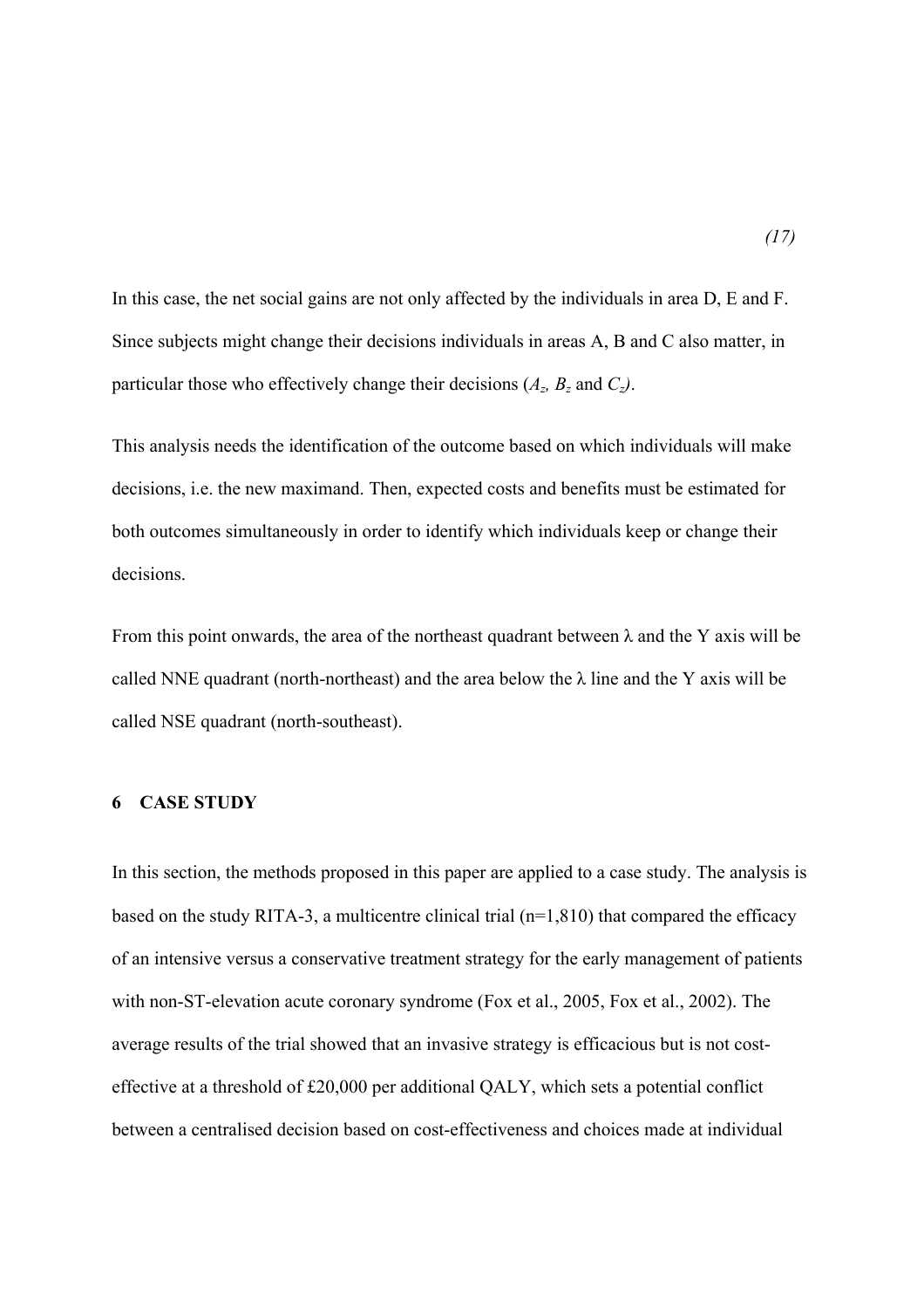In this case, the net social gains are not only affected by the individuals in area D, E and F. Since subjects might change their decisions individuals in areas A, B and C also matter, in particular those who effectively change their decisions  $(A_z, B_z \text{ and } C_z)$ .

This analysis needs the identification of the outcome based on which individuals will make decisions, i.e. the new maximand. Then, expected costs and benefits must be estimated for both outcomes simultaneously in order to identify which individuals keep or change their decisions.

From this point onwards, the area of the northeast quadrant between  $\lambda$  and the Y axis will be called NNE quadrant (north-northeast) and the area below the  $\lambda$  line and the Y axis will be called NSE quadrant (north-southeast).

### **6 CASE STUDY**

In this section, the methods proposed in this paper are applied to a case study. The analysis is based on the study RITA-3, a multicentre clinical trial (n=1,810) that compared the efficacy of an intensive versus a conservative treatment strategy for the early management of patients with non-ST-elevation acute coronary syndrome (Fox et al., 2005, Fox et al., 2002). The average results of the trial showed that an invasive strategy is efficacious but is not costeffective at a threshold of £20,000 per additional QALY, which sets a potential conflict between a centralised decision based on cost-effectiveness and choices made at individual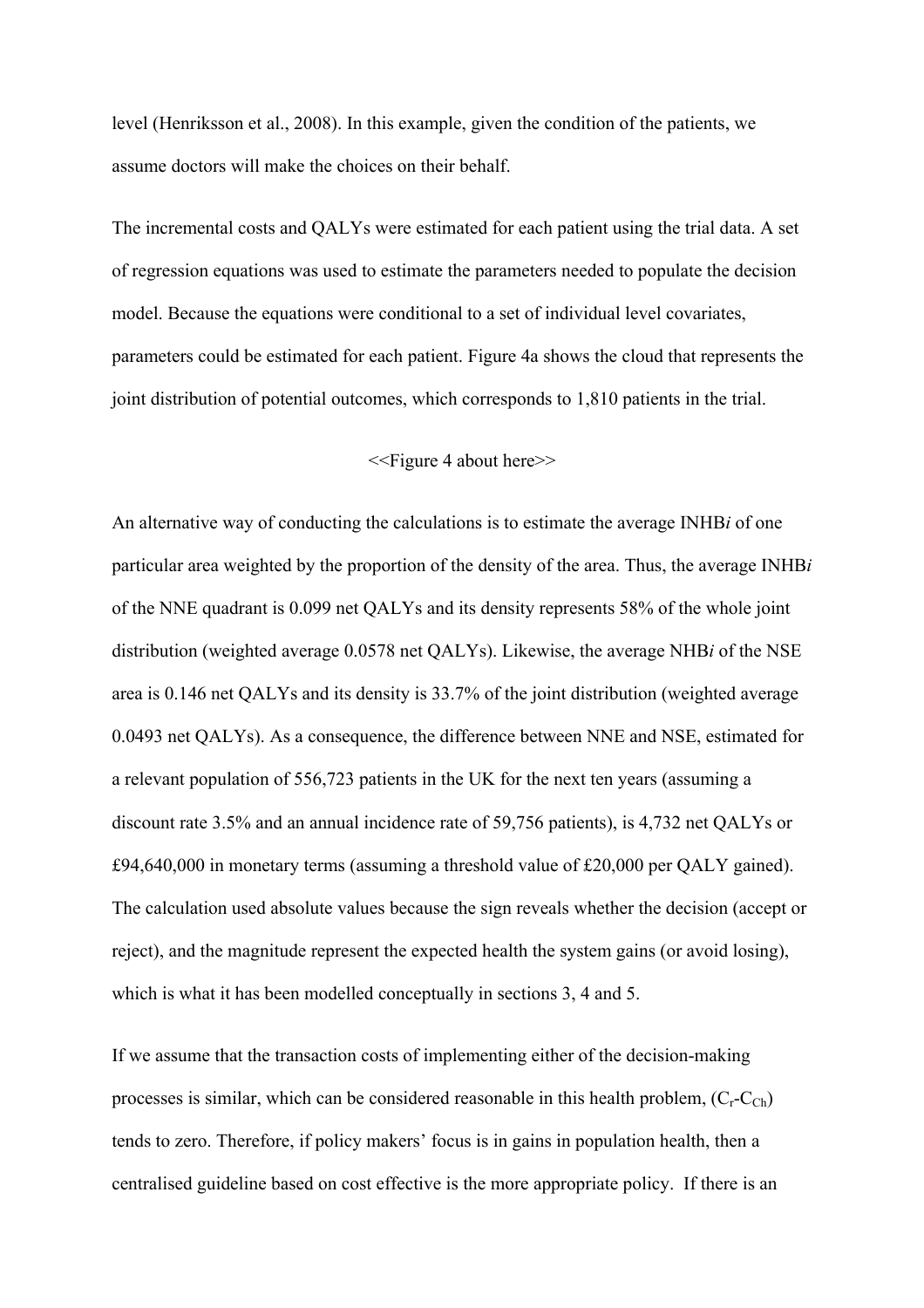level (Henriksson et al., 2008). In this example, given the condition of the patients, we assume doctors will make the choices on their behalf.

The incremental costs and QALYs were estimated for each patient using the trial data. A set of regression equations was used to estimate the parameters needed to populate the decision model. Because the equations were conditional to a set of individual level covariates, parameters could be estimated for each patient. Figure 4a shows the cloud that represents the joint distribution of potential outcomes, which corresponds to 1,810 patients in the trial.

<<Figure 4 about here>>

An alternative way of conducting the calculations is to estimate the average INHB*i* of one particular area weighted by the proportion of the density of the area. Thus, the average INHB*i* of the NNE quadrant is 0.099 net QALYs and its density represents 58% of the whole joint distribution (weighted average 0.0578 net QALYs). Likewise, the average NHB*i* of the NSE area is 0.146 net QALYs and its density is 33.7% of the joint distribution (weighted average 0.0493 net QALYs). As a consequence, the difference between NNE and NSE, estimated for a relevant population of 556,723 patients in the UK for the next ten years (assuming a discount rate 3.5% and an annual incidence rate of 59,756 patients), is 4,732 net QALYs or £94,640,000 in monetary terms (assuming a threshold value of £20,000 per QALY gained). The calculation used absolute values because the sign reveals whether the decision (accept or reject), and the magnitude represent the expected health the system gains (or avoid losing), which is what it has been modelled conceptually in sections 3, 4 and 5.

If we assume that the transaction costs of implementing either of the decision-making processes is similar, which can be considered reasonable in this health problem,  $(C_r-C_{Ch})$ tends to zero. Therefore, if policy makers' focus is in gains in population health, then a centralised guideline based on cost effective is the more appropriate policy. If there is an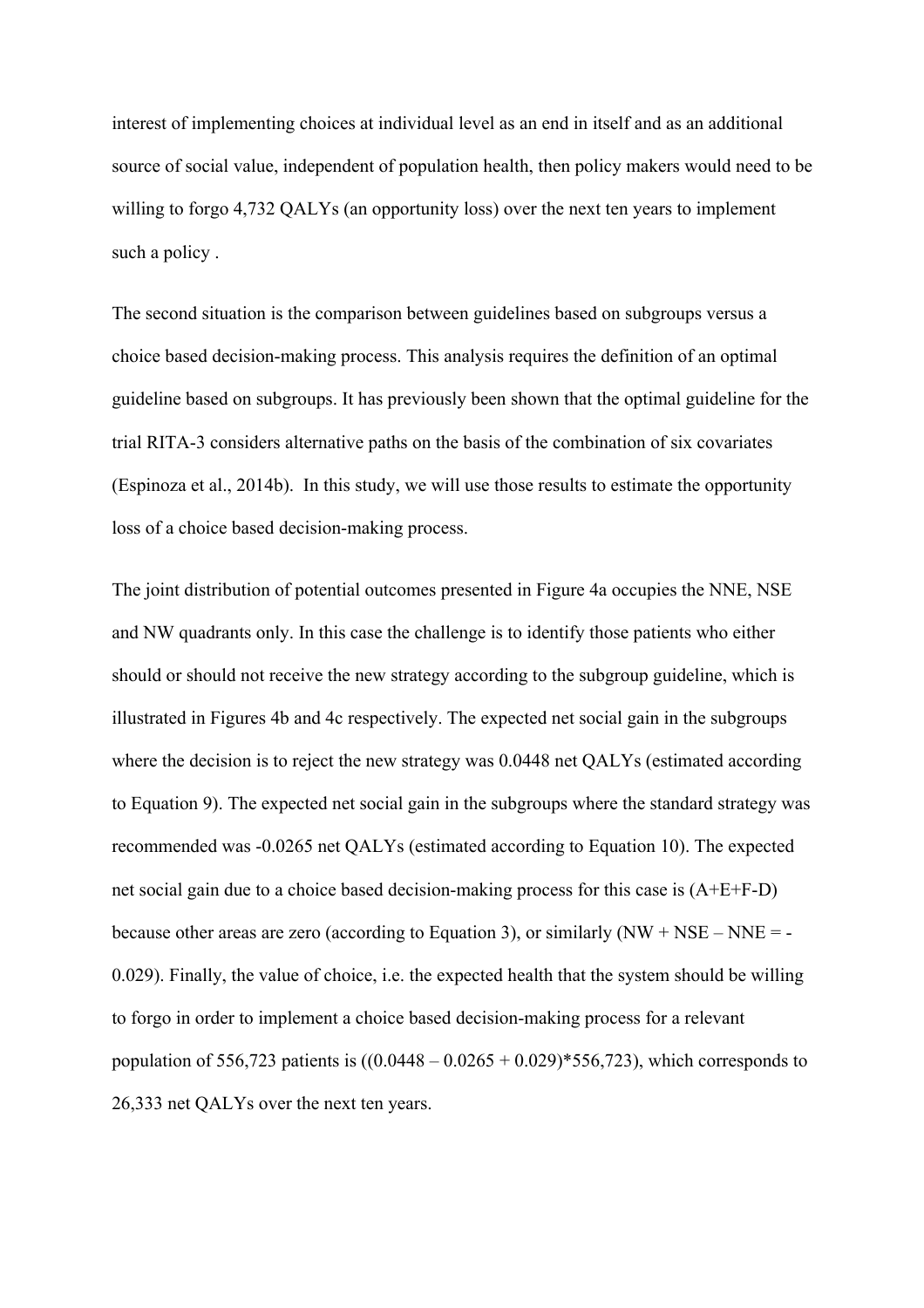interest of implementing choices at individual level as an end in itself and as an additional source of social value, independent of population health, then policy makers would need to be willing to forgo 4,732 QALYs (an opportunity loss) over the next ten years to implement such a policy .

The second situation is the comparison between guidelines based on subgroups versus a choice based decision-making process. This analysis requires the definition of an optimal guideline based on subgroups. It has previously been shown that the optimal guideline for the trial RITA-3 considers alternative paths on the basis of the combination of six covariates (Espinoza et al., 2014b). In this study, we will use those results to estimate the opportunity loss of a choice based decision-making process.

The joint distribution of potential outcomes presented in Figure 4a occupies the NNE, NSE and NW quadrants only. In this case the challenge is to identify those patients who either should or should not receive the new strategy according to the subgroup guideline, which is illustrated in Figures 4b and 4c respectively. The expected net social gain in the subgroups where the decision is to reject the new strategy was  $0.0448$  net QALYs (estimated according to Equation 9). The expected net social gain in the subgroups where the standard strategy was recommended was -0.0265 net QALYs (estimated according to Equation 10). The expected net social gain due to a choice based decision-making process for this case is (A+E+F-D) because other areas are zero (according to Equation 3), or similarly  $(NW + NSE - NNE = -$ 0.029). Finally, the value of choice, i.e. the expected health that the system should be willing to forgo in order to implement a choice based decision-making process for a relevant population of 556,723 patients is  $((0.0448 - 0.0265 + 0.029) * 556,723)$ , which corresponds to 26,333 net QALYs over the next ten years.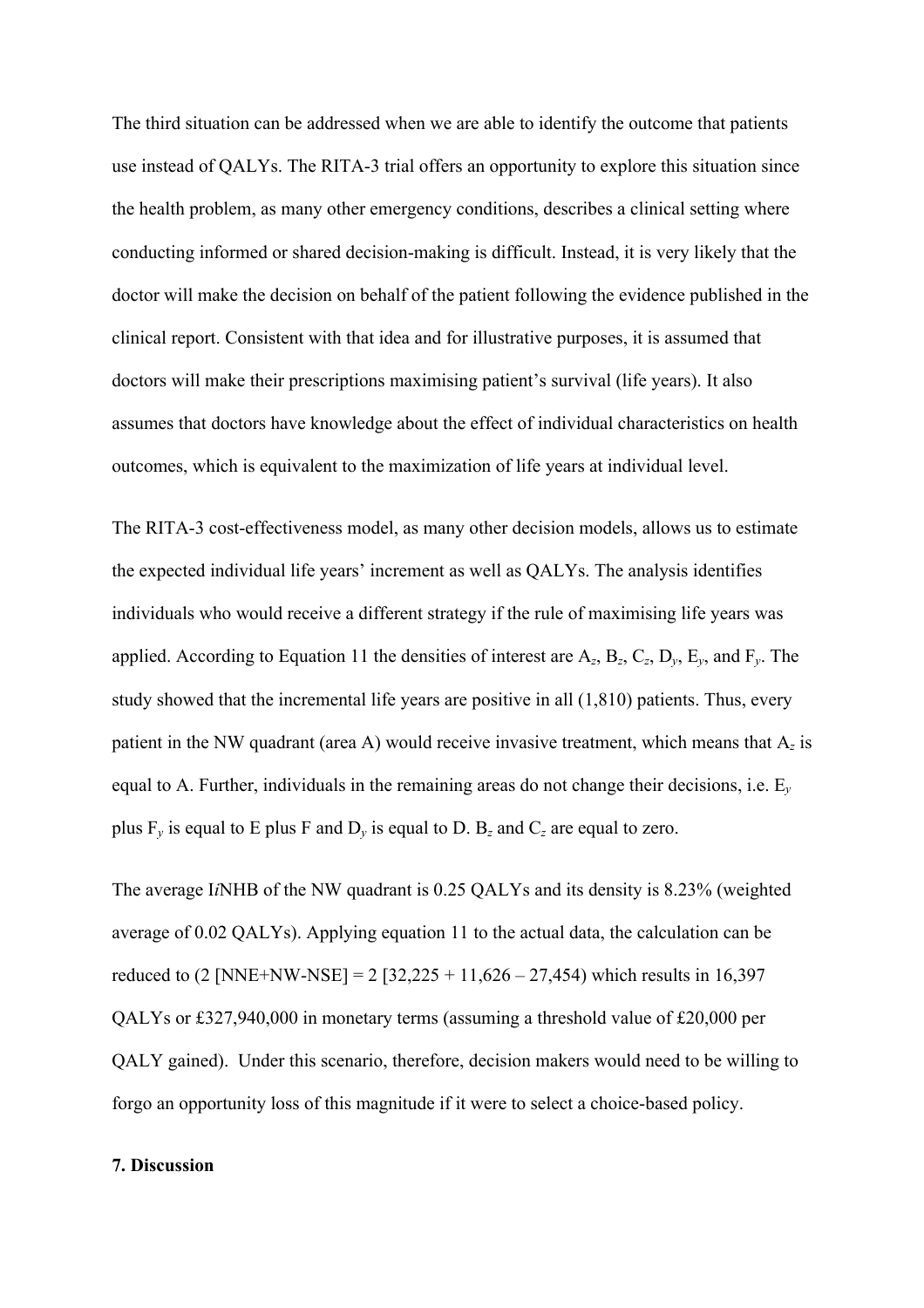The third situation can be addressed when we are able to identify the outcome that patients use instead of QALYs. The RITA-3 trial offers an opportunity to explore this situation since the health problem, as many other emergency conditions, describes a clinical setting where conducting informed or shared decision-making is difficult. Instead, it is very likely that the doctor will make the decision on behalf of the patient following the evidence published in the clinical report. Consistent with that idea and for illustrative purposes, it is assumed that doctors will make their prescriptions maximising patient's survival (life years). It also assumes that doctors have knowledge about the effect of individual characteristics on health outcomes, which is equivalent to the maximization of life years at individual level.

The RITA-3 cost-effectiveness model, as many other decision models, allows us to estimate the expected individual life years' increment as well as QALYs. The analysis identifies individuals who would receive a different strategy if the rule of maximising life years was applied. According to Equation 11 the densities of interest are  $A_z$ ,  $B_z$ ,  $C_z$ ,  $D_v$ ,  $E_v$ , and  $F_v$ . The study showed that the incremental life years are positive in all (1,810) patients. Thus, every patient in the NW quadrant (area A) would receive invasive treatment, which means that A*<sup>z</sup>* is equal to A. Further, individuals in the remaining areas do not change their decisions, i.e. E*<sup>y</sup>* plus  $F_v$  is equal to E plus F and  $D_v$  is equal to D.  $B_z$  and  $C_z$  are equal to zero.

The average I*i*NHB of the NW quadrant is 0.25 QALYs and its density is 8.23% (weighted average of 0.02 QALYs). Applying equation 11 to the actual data, the calculation can be reduced to  $(2 \text{ [NNE+NW-NSE]} = 2 \text{ [}32,225 + 11,626 - 27,454)$  which results in 16,397 QALYs or £327,940,000 in monetary terms (assuming a threshold value of £20,000 per QALY gained). Under this scenario, therefore, decision makers would need to be willing to forgo an opportunity loss of this magnitude if it were to select a choice-based policy.

### **7. Discussion**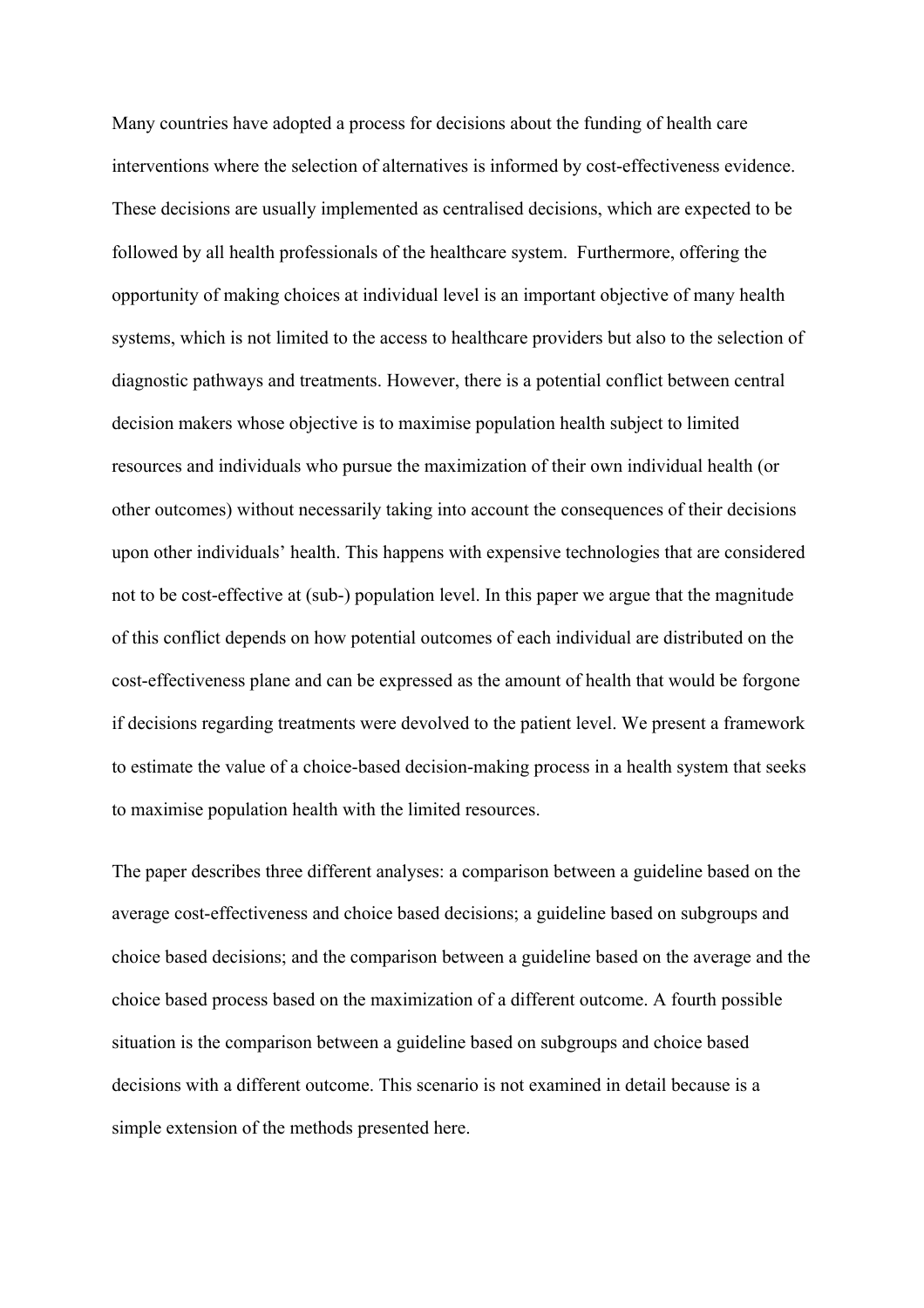Many countries have adopted a process for decisions about the funding of health care interventions where the selection of alternatives is informed by cost-effectiveness evidence. These decisions are usually implemented as centralised decisions, which are expected to be followed by all health professionals of the healthcare system. Furthermore, offering the opportunity of making choices at individual level is an important objective of many health systems, which is not limited to the access to healthcare providers but also to the selection of diagnostic pathways and treatments. However, there is a potential conflict between central decision makers whose objective is to maximise population health subject to limited resources and individuals who pursue the maximization of their own individual health (or other outcomes) without necessarily taking into account the consequences of their decisions upon other individuals' health. This happens with expensive technologies that are considered not to be cost-effective at (sub-) population level. In this paper we argue that the magnitude of this conflict depends on how potential outcomes of each individual are distributed on the cost-effectiveness plane and can be expressed as the amount of health that would be forgone if decisions regarding treatments were devolved to the patient level. We present a framework to estimate the value of a choice-based decision-making process in a health system that seeks to maximise population health with the limited resources.

The paper describes three different analyses: a comparison between a guideline based on the average cost-effectiveness and choice based decisions; a guideline based on subgroups and choice based decisions; and the comparison between a guideline based on the average and the choice based process based on the maximization of a different outcome. A fourth possible situation is the comparison between a guideline based on subgroups and choice based decisions with a different outcome. This scenario is not examined in detail because is a simple extension of the methods presented here.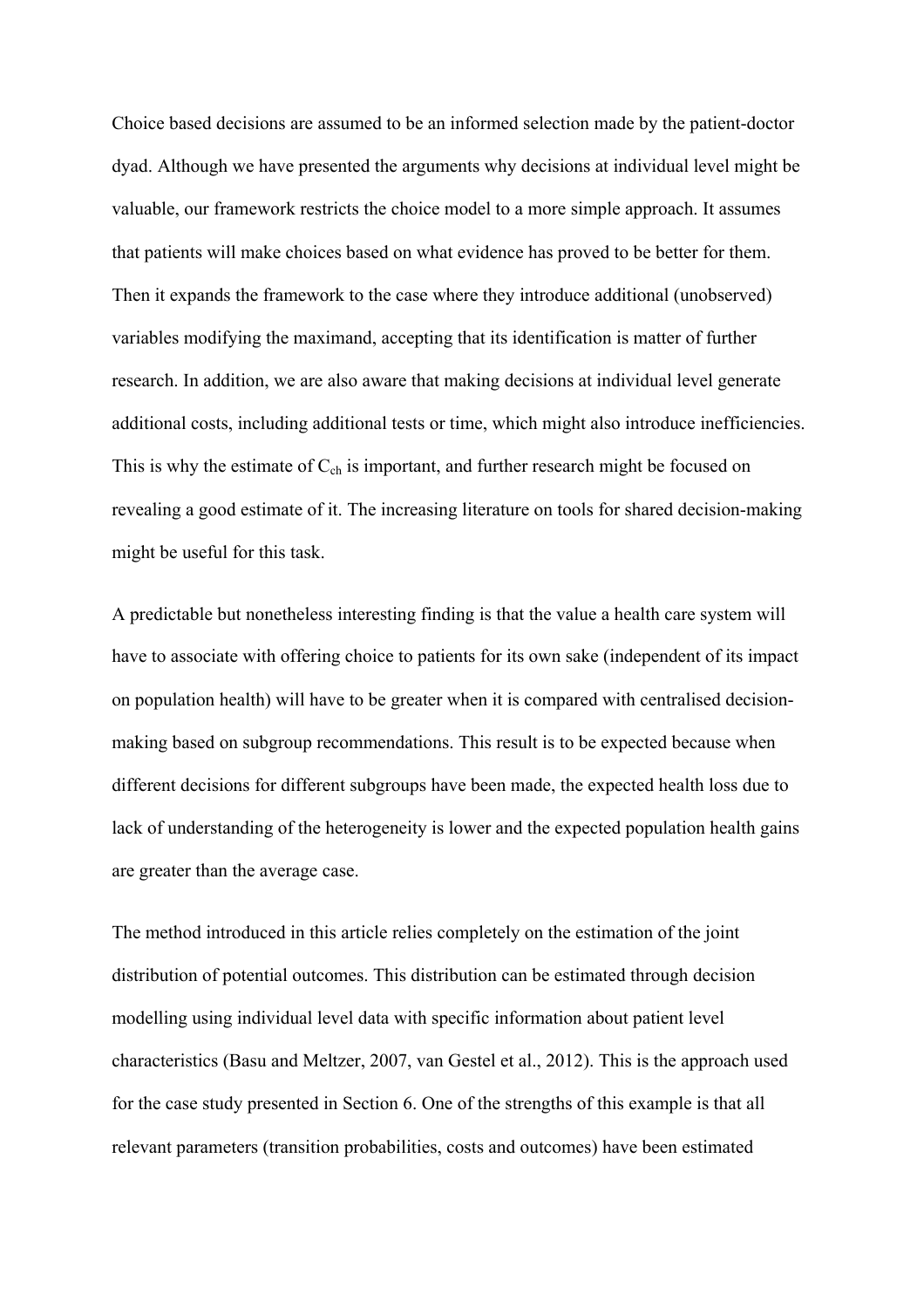Choice based decisions are assumed to be an informed selection made by the patient-doctor dyad. Although we have presented the arguments why decisions at individual level might be valuable, our framework restricts the choice model to a more simple approach. It assumes that patients will make choices based on what evidence has proved to be better for them. Then it expands the framework to the case where they introduce additional (unobserved) variables modifying the maximand, accepting that its identification is matter of further research. In addition, we are also aware that making decisions at individual level generate additional costs, including additional tests or time, which might also introduce inefficiencies. This is why the estimate of  $C_{ch}$  is important, and further research might be focused on revealing a good estimate of it. The increasing literature on tools for shared decision-making might be useful for this task.

A predictable but nonetheless interesting finding is that the value a health care system will have to associate with offering choice to patients for its own sake (independent of its impact on population health) will have to be greater when it is compared with centralised decisionmaking based on subgroup recommendations. This result is to be expected because when different decisions for different subgroups have been made, the expected health loss due to lack of understanding of the heterogeneity is lower and the expected population health gains are greater than the average case.

The method introduced in this article relies completely on the estimation of the joint distribution of potential outcomes. This distribution can be estimated through decision modelling using individual level data with specific information about patient level characteristics (Basu and Meltzer, 2007, van Gestel et al., 2012). This is the approach used for the case study presented in Section 6. One of the strengths of this example is that all relevant parameters (transition probabilities, costs and outcomes) have been estimated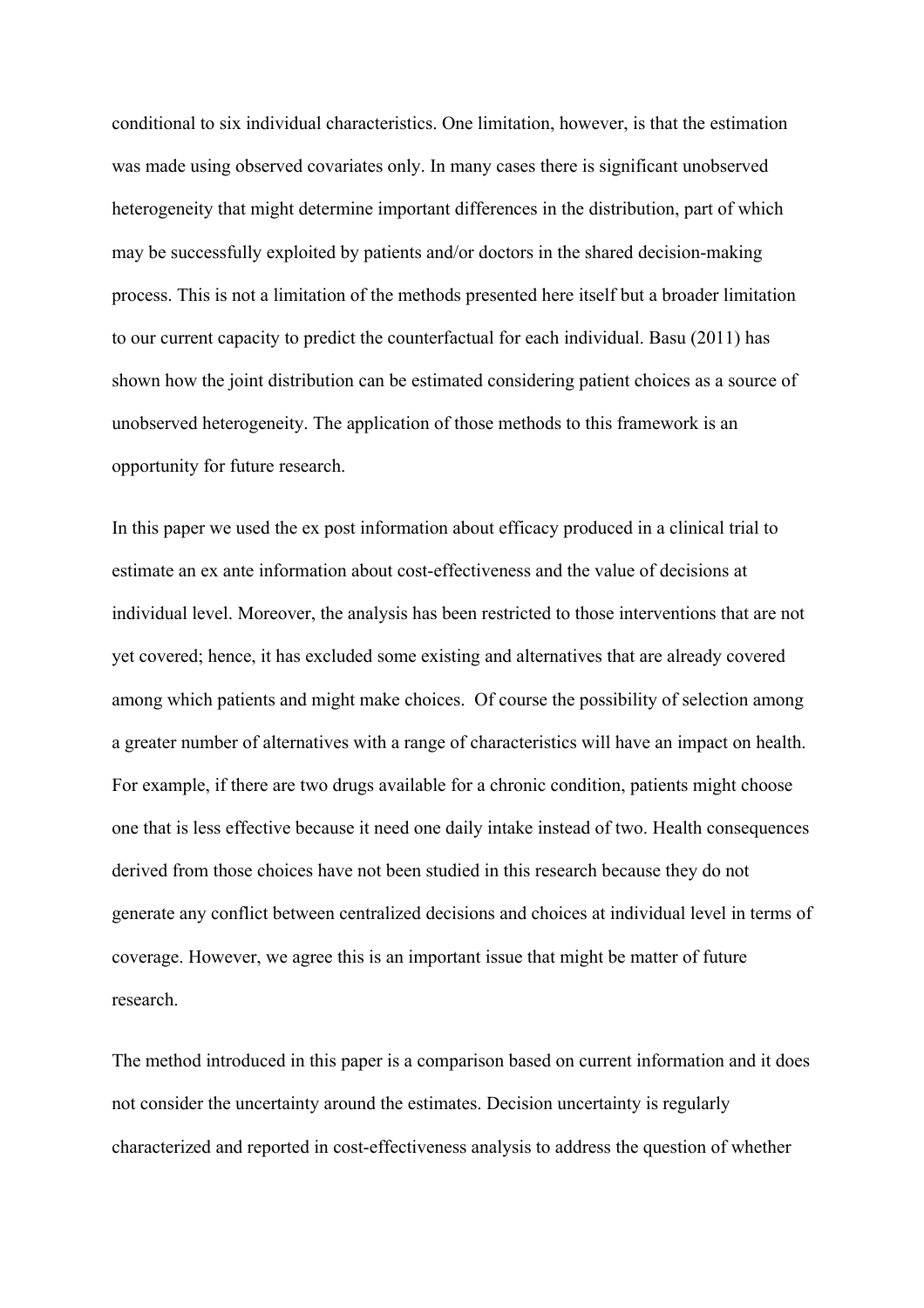conditional to six individual characteristics. One limitation, however, is that the estimation was made using observed covariates only. In many cases there is significant unobserved heterogeneity that might determine important differences in the distribution, part of which may be successfully exploited by patients and/or doctors in the shared decision-making process. This is not a limitation of the methods presented here itself but a broader limitation to our current capacity to predict the counterfactual for each individual. Basu (2011) has shown how the joint distribution can be estimated considering patient choices as a source of unobserved heterogeneity. The application of those methods to this framework is an opportunity for future research.

In this paper we used the ex post information about efficacy produced in a clinical trial to estimate an ex ante information about cost-effectiveness and the value of decisions at individual level. Moreover, the analysis has been restricted to those interventions that are not yet covered; hence, it has excluded some existing and alternatives that are already covered among which patients and might make choices. Of course the possibility of selection among a greater number of alternatives with a range of characteristics will have an impact on health. For example, if there are two drugs available for a chronic condition, patients might choose one that is less effective because it need one daily intake instead of two. Health consequences derived from those choices have not been studied in this research because they do not generate any conflict between centralized decisions and choices at individual level in terms of coverage. However, we agree this is an important issue that might be matter of future research.

The method introduced in this paper is a comparison based on current information and it does not consider the uncertainty around the estimates. Decision uncertainty is regularly characterized and reported in cost-effectiveness analysis to address the question of whether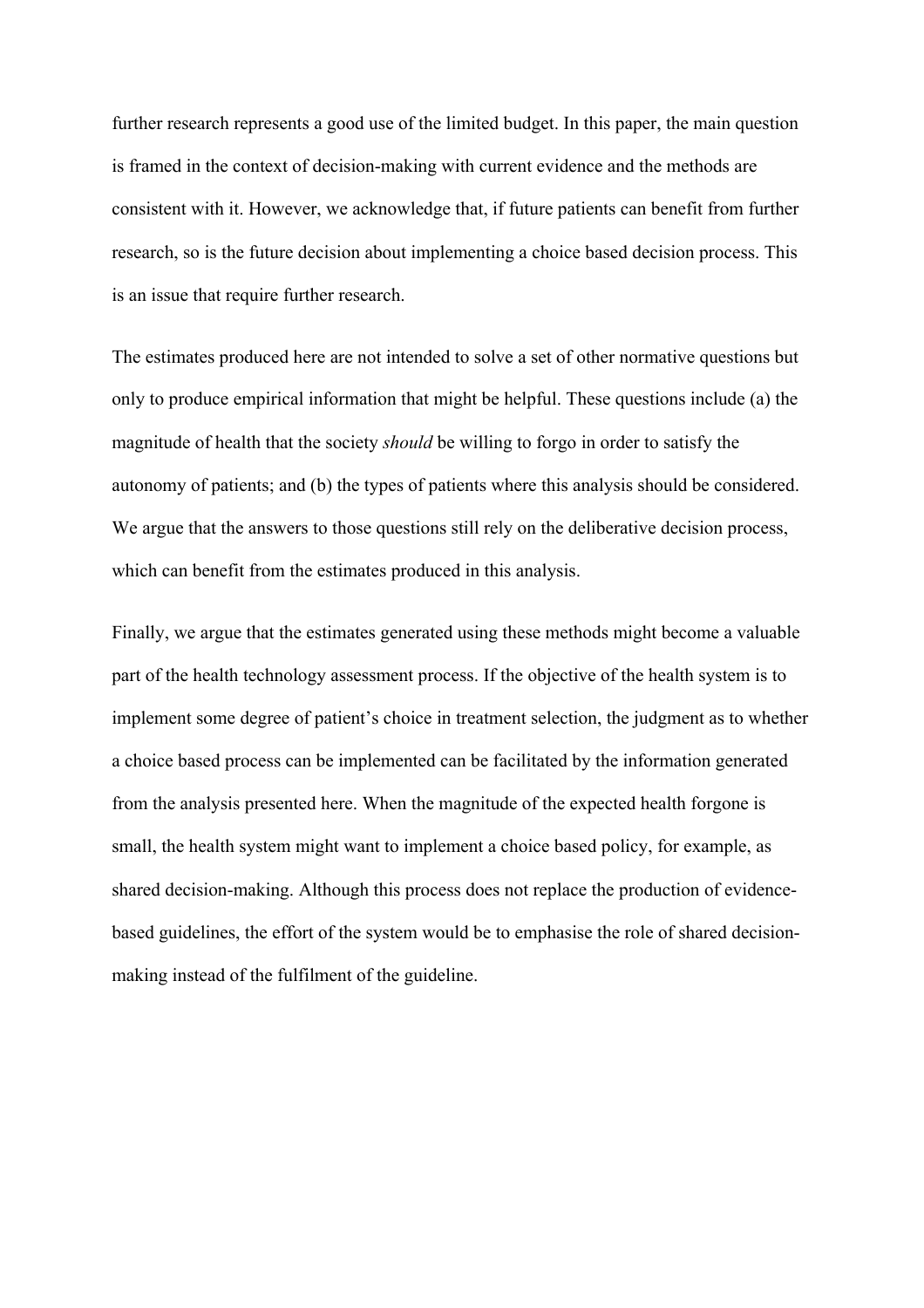further research represents a good use of the limited budget. In this paper, the main question is framed in the context of decision-making with current evidence and the methods are consistent with it. However, we acknowledge that, if future patients can benefit from further research, so is the future decision about implementing a choice based decision process. This is an issue that require further research.

The estimates produced here are not intended to solve a set of other normative questions but only to produce empirical information that might be helpful. These questions include (a) the magnitude of health that the society *should* be willing to forgo in order to satisfy the autonomy of patients; and (b) the types of patients where this analysis should be considered. We argue that the answers to those questions still rely on the deliberative decision process, which can benefit from the estimates produced in this analysis.

Finally, we argue that the estimates generated using these methods might become a valuable part of the health technology assessment process. If the objective of the health system is to implement some degree of patient's choice in treatment selection, the judgment as to whether a choice based process can be implemented can be facilitated by the information generated from the analysis presented here. When the magnitude of the expected health forgone is small, the health system might want to implement a choice based policy, for example, as shared decision-making. Although this process does not replace the production of evidencebased guidelines, the effort of the system would be to emphasise the role of shared decisionmaking instead of the fulfilment of the guideline.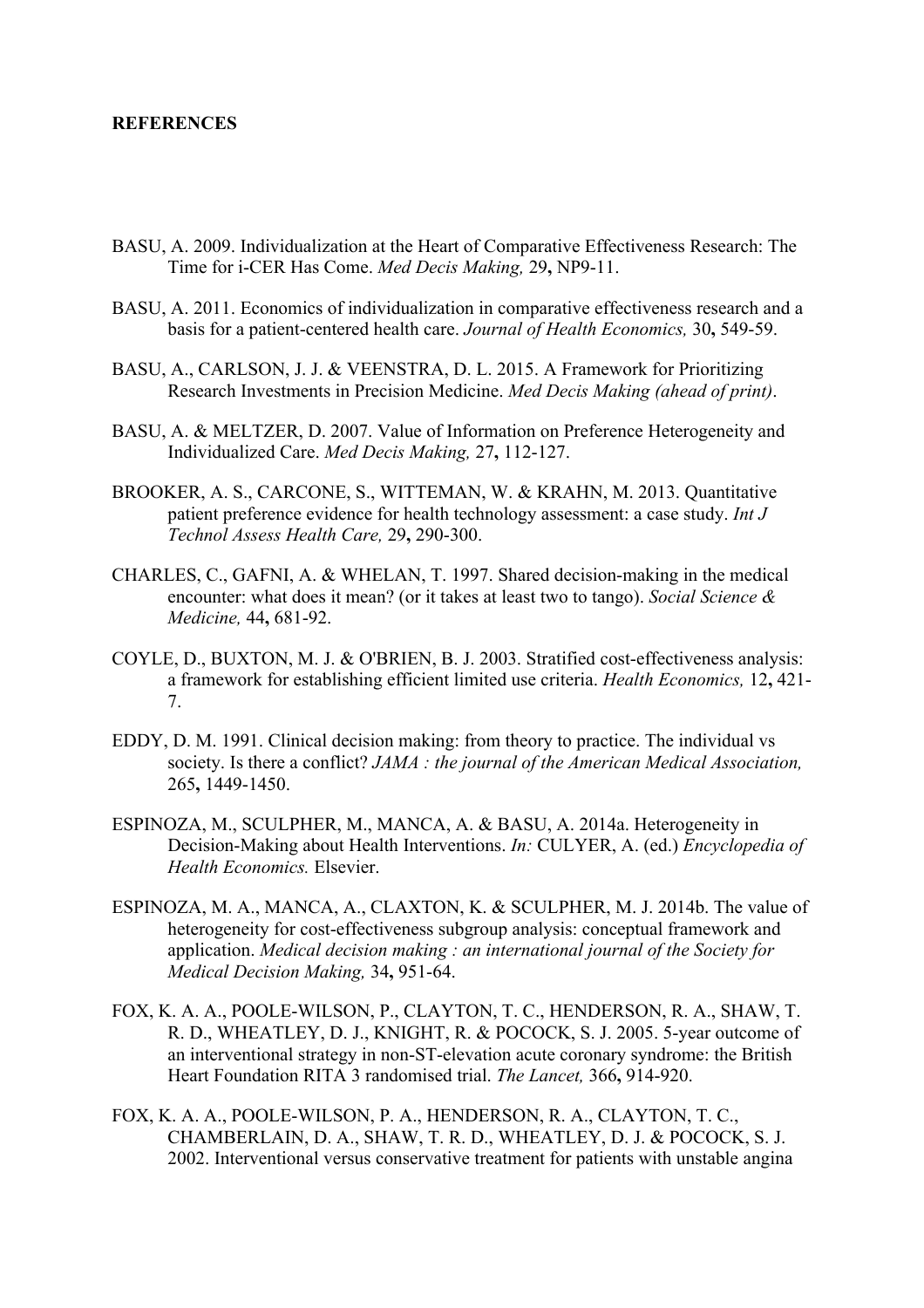## **REFERENCES**

- BASU, A. 2009. Individualization at the Heart of Comparative Effectiveness Research: The Time for i-CER Has Come. *Med Decis Making,* 29**,** NP9-11.
- BASU, A. 2011. Economics of individualization in comparative effectiveness research and a basis for a patient-centered health care. *Journal of Health Economics,* 30**,** 549-59.
- BASU, A., CARLSON, J. J. & VEENSTRA, D. L. 2015. A Framework for Prioritizing Research Investments in Precision Medicine. *Med Decis Making (ahead of print)*.
- BASU, A. & MELTZER, D. 2007. Value of Information on Preference Heterogeneity and Individualized Care. *Med Decis Making,* 27**,** 112-127.
- BROOKER, A. S., CARCONE, S., WITTEMAN, W. & KRAHN, M. 2013. Quantitative patient preference evidence for health technology assessment: a case study. *Int J Technol Assess Health Care,* 29**,** 290-300.
- CHARLES, C., GAFNI, A. & WHELAN, T. 1997. Shared decision-making in the medical encounter: what does it mean? (or it takes at least two to tango). *Social Science & Medicine,* 44**,** 681-92.
- COYLE, D., BUXTON, M. J. & O'BRIEN, B. J. 2003. Stratified cost-effectiveness analysis: a framework for establishing efficient limited use criteria. *Health Economics,* 12**,** 421- 7.
- EDDY, D. M. 1991. Clinical decision making: from theory to practice. The individual vs society. Is there a conflict? *JAMA : the journal of the American Medical Association,* 265**,** 1449-1450.
- ESPINOZA, M., SCULPHER, M., MANCA, A. & BASU, A. 2014a. Heterogeneity in Decision-Making about Health Interventions. *In:* CULYER, A. (ed.) *Encyclopedia of Health Economics.* Elsevier.
- ESPINOZA, M. A., MANCA, A., CLAXTON, K. & SCULPHER, M. J. 2014b. The value of heterogeneity for cost-effectiveness subgroup analysis: conceptual framework and application. *Medical decision making : an international journal of the Society for Medical Decision Making,* 34**,** 951-64.
- FOX, K. A. A., POOLE-WILSON, P., CLAYTON, T. C., HENDERSON, R. A., SHAW, T. R. D., WHEATLEY, D. J., KNIGHT, R. & POCOCK, S. J. 2005. 5-year outcome of an interventional strategy in non-ST-elevation acute coronary syndrome: the British Heart Foundation RITA 3 randomised trial. *The Lancet,* 366**,** 914-920.
- FOX, K. A. A., POOLE-WILSON, P. A., HENDERSON, R. A., CLAYTON, T. C., CHAMBERLAIN, D. A., SHAW, T. R. D., WHEATLEY, D. J. & POCOCK, S. J. 2002. Interventional versus conservative treatment for patients with unstable angina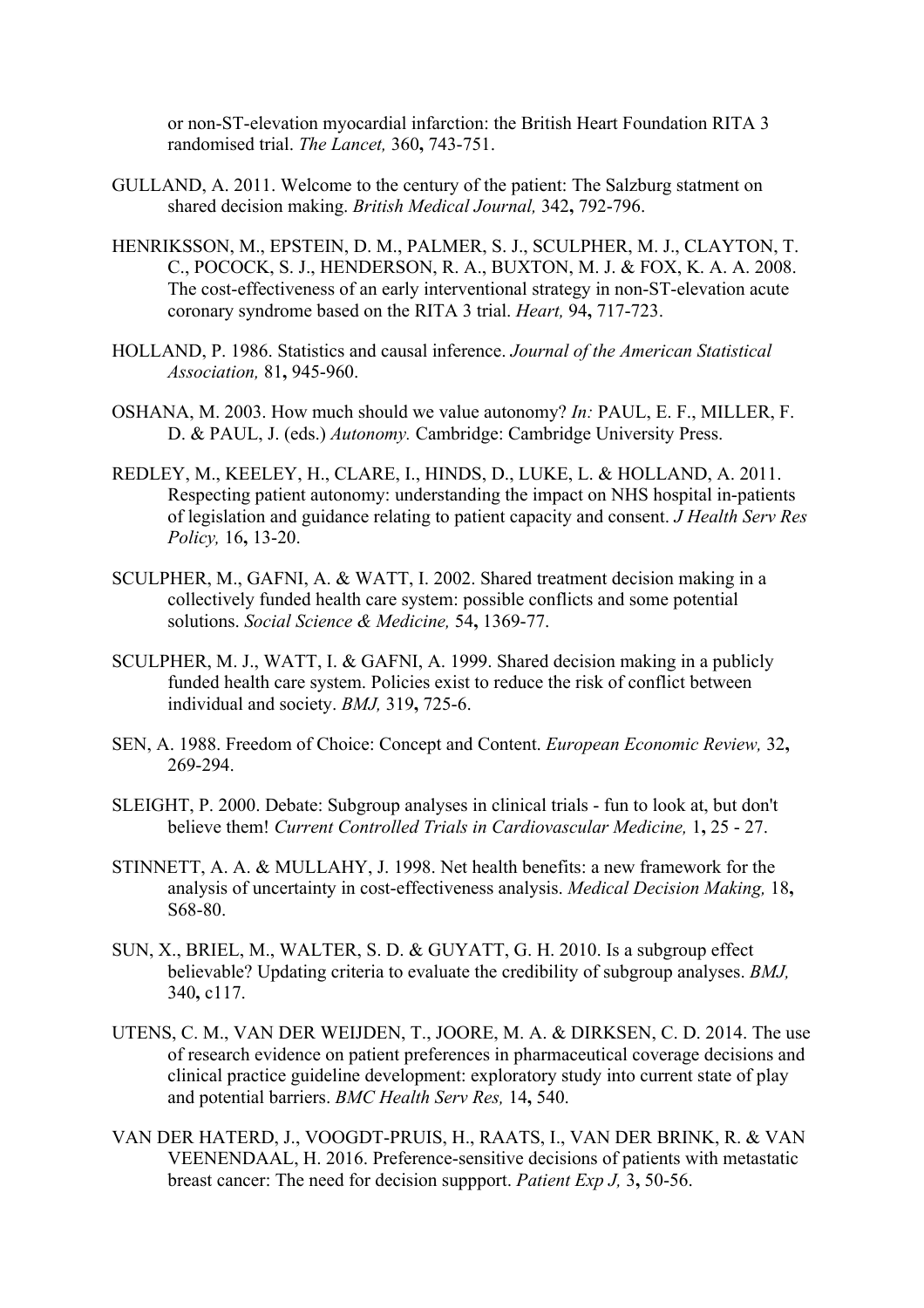or non-ST-elevation myocardial infarction: the British Heart Foundation RITA 3 randomised trial. *The Lancet,* 360**,** 743-751.

- GULLAND, A. 2011. Welcome to the century of the patient: The Salzburg statment on shared decision making. *British Medical Journal,* 342**,** 792-796.
- HENRIKSSON, M., EPSTEIN, D. M., PALMER, S. J., SCULPHER, M. J., CLAYTON, T. C., POCOCK, S. J., HENDERSON, R. A., BUXTON, M. J. & FOX, K. A. A. 2008. The cost-effectiveness of an early interventional strategy in non-ST-elevation acute coronary syndrome based on the RITA 3 trial. *Heart,* 94**,** 717-723.
- HOLLAND, P. 1986. Statistics and causal inference. *Journal of the American Statistical Association,* 81**,** 945-960.
- OSHANA, M. 2003. How much should we value autonomy? *In:* PAUL, E. F., MILLER, F. D. & PAUL, J. (eds.) *Autonomy.* Cambridge: Cambridge University Press.
- REDLEY, M., KEELEY, H., CLARE, I., HINDS, D., LUKE, L. & HOLLAND, A. 2011. Respecting patient autonomy: understanding the impact on NHS hospital in-patients of legislation and guidance relating to patient capacity and consent. *J Health Serv Res Policy,* 16**,** 13-20.
- SCULPHER, M., GAFNI, A. & WATT, I. 2002. Shared treatment decision making in a collectively funded health care system: possible conflicts and some potential solutions. *Social Science & Medicine,* 54**,** 1369-77.
- SCULPHER, M. J., WATT, I. & GAFNI, A. 1999. Shared decision making in a publicly funded health care system. Policies exist to reduce the risk of conflict between individual and society. *BMJ,* 319**,** 725-6.
- SEN, A. 1988. Freedom of Choice: Concept and Content. *European Economic Review,* 32**,** 269-294.
- SLEIGHT, P. 2000. Debate: Subgroup analyses in clinical trials fun to look at, but don't believe them! *Current Controlled Trials in Cardiovascular Medicine,* 1**,** 25 - 27.
- STINNETT, A. A. & MULLAHY, J. 1998. Net health benefits: a new framework for the analysis of uncertainty in cost-effectiveness analysis. *Medical Decision Making,* 18**,** S68-80.
- SUN, X., BRIEL, M., WALTER, S. D. & GUYATT, G. H. 2010. Is a subgroup effect believable? Updating criteria to evaluate the credibility of subgroup analyses. *BMJ,* 340**,** c117.
- UTENS, C. M., VAN DER WEIJDEN, T., JOORE, M. A. & DIRKSEN, C. D. 2014. The use of research evidence on patient preferences in pharmaceutical coverage decisions and clinical practice guideline development: exploratory study into current state of play and potential barriers. *BMC Health Serv Res,* 14**,** 540.
- VAN DER HATERD, J., VOOGDT-PRUIS, H., RAATS, I., VAN DER BRINK, R. & VAN VEENENDAAL, H. 2016. Preference-sensitive decisions of patients with metastatic breast cancer: The need for decision suppport. *Patient Exp J,* 3**,** 50-56.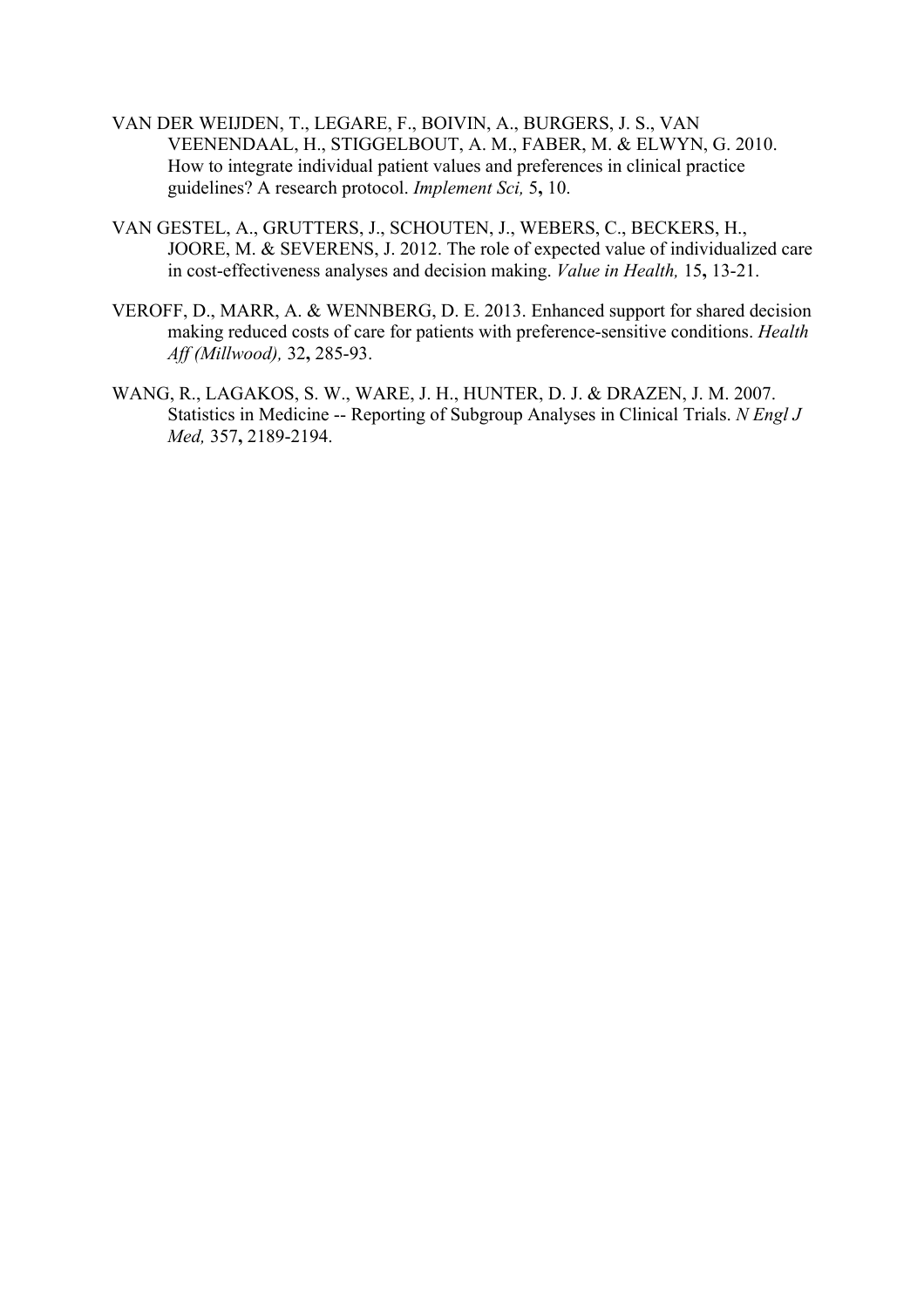- VAN DER WEIJDEN, T., LEGARE, F., BOIVIN, A., BURGERS, J. S., VAN VEENENDAAL, H., STIGGELBOUT, A. M., FABER, M. & ELWYN, G. 2010. How to integrate individual patient values and preferences in clinical practice guidelines? A research protocol. *Implement Sci,* 5**,** 10.
- VAN GESTEL, A., GRUTTERS, J., SCHOUTEN, J., WEBERS, C., BECKERS, H., JOORE, M. & SEVERENS, J. 2012. The role of expected value of individualized care in cost-effectiveness analyses and decision making. *Value in Health,* 15**,** 13-21.
- VEROFF, D., MARR, A. & WENNBERG, D. E. 2013. Enhanced support for shared decision making reduced costs of care for patients with preference-sensitive conditions. *Health Aff (Millwood),* 32**,** 285-93.
- WANG, R., LAGAKOS, S. W., WARE, J. H., HUNTER, D. J. & DRAZEN, J. M. 2007. Statistics in Medicine -- Reporting of Subgroup Analyses in Clinical Trials. *N Engl J Med,* 357**,** 2189-2194.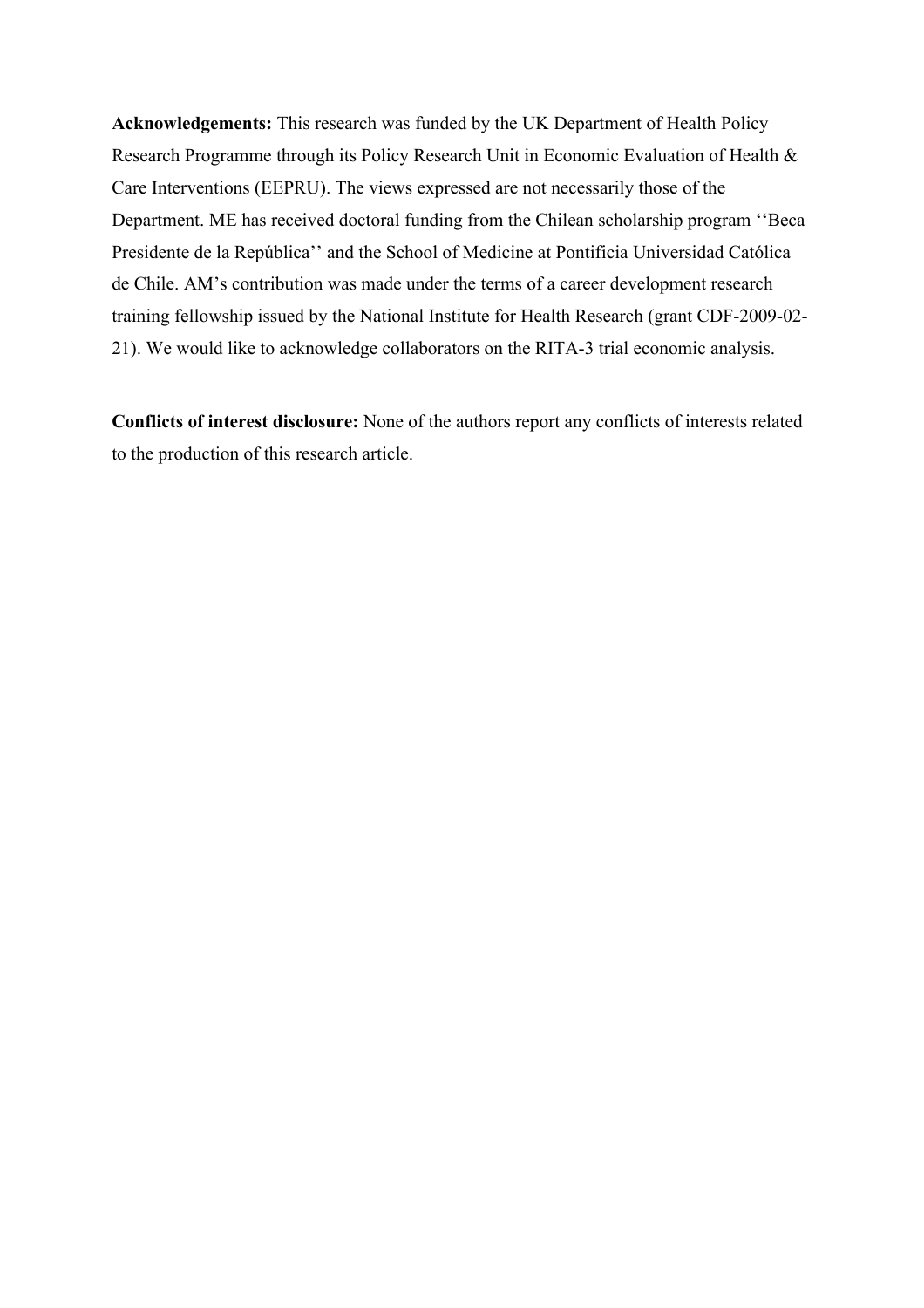**Acknowledgements:** This research was funded by the UK Department of Health Policy Research Programme through its Policy Research Unit in Economic Evaluation of Health & Care Interventions (EEPRU). The views expressed are not necessarily those of the Department. ME has received doctoral funding from the Chilean scholarship program ''Beca Presidente de la República'' and the School of Medicine at Pontificia Universidad Católica de Chile. AM's contribution was made under the terms of a career development research training fellowship issued by the National Institute for Health Research (grant CDF-2009-02- 21). We would like to acknowledge collaborators on the RITA-3 trial economic analysis.

**Conflicts of interest disclosure:** None of the authors report any conflicts of interests related to the production of this research article.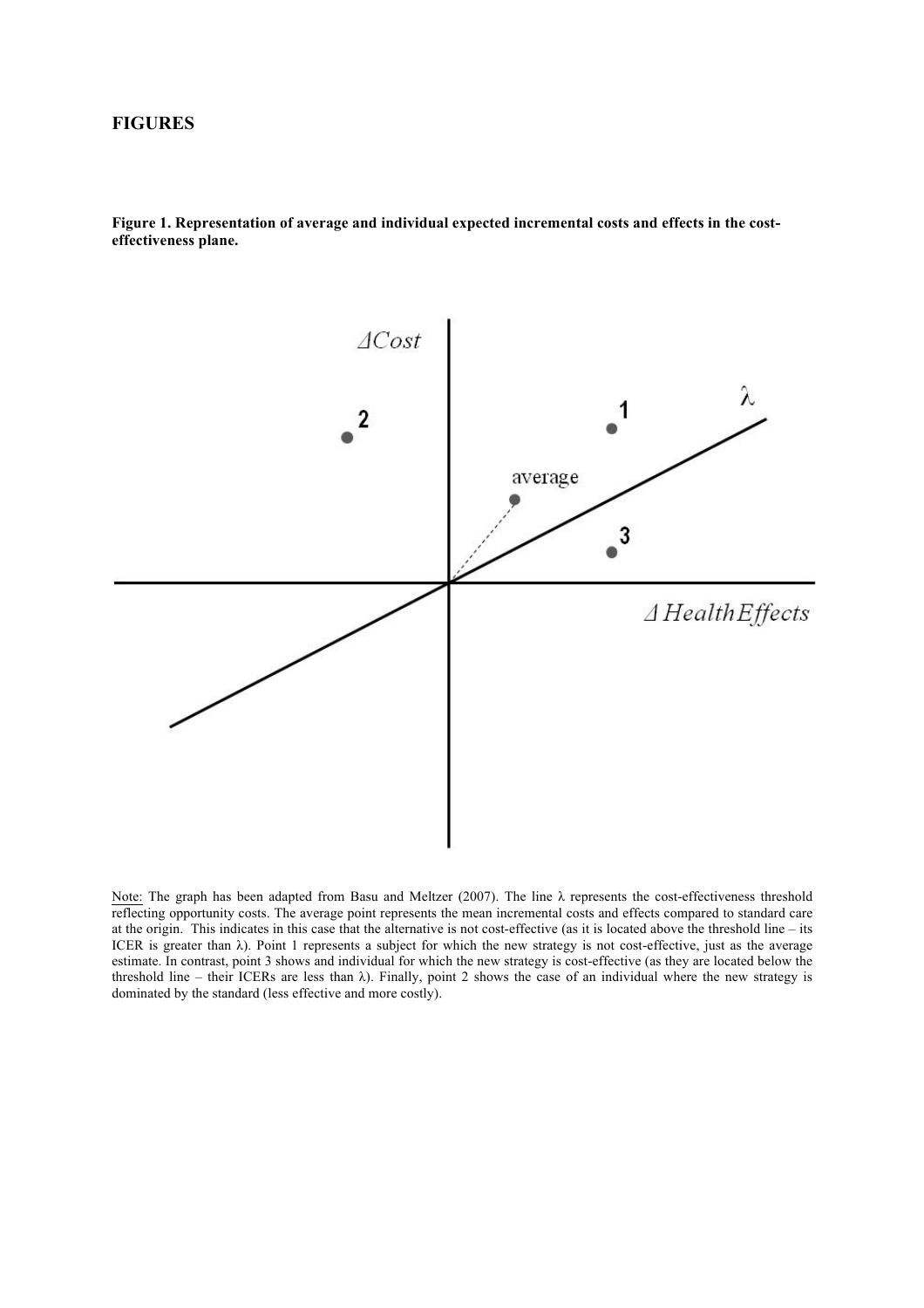### **FIGURES**

**Figure 1. Representation of average and individual expected incremental costs and effects in the costeffectiveness plane.**



Note: The graph has been adapted from Basu and Meltzer (2007). The line λ represents the cost-effectiveness threshold reflecting opportunity costs. The average point represents the mean incremental costs and effects compared to standard care at the origin. This indicates in this case that the alternative is not cost-effective (as it is located above the threshold line – its ICER is greater than  $\lambda$ ). Point 1 represents a subject for which the new strategy is not cost-effective, just as the average estimate. In contrast, point 3 shows and individual for which the new strategy is cost-effective (as they are located below the threshold line – their ICERs are less than  $\lambda$ ). Finally, point 2 shows the case of an individual where the new strategy is dominated by the standard (less effective and more costly).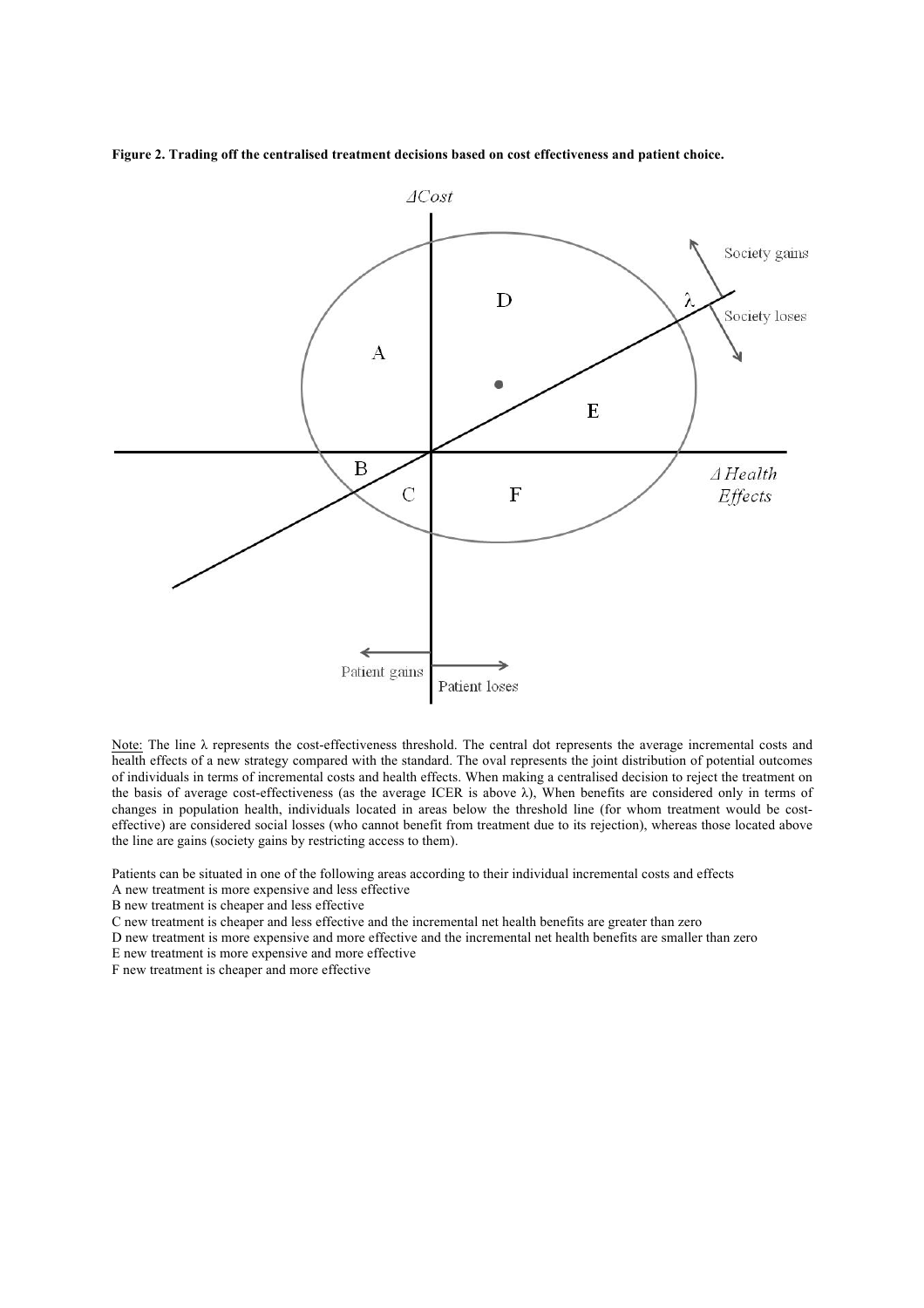**Figure 2. Trading off the centralised treatment decisions based on cost effectiveness and patient choice.** 



Note: The line λ represents the cost-effectiveness threshold. The central dot represents the average incremental costs and health effects of a new strategy compared with the standard. The oval represents the joint distribution of potential outcomes of individuals in terms of incremental costs and health effects. When making a centralised decision to reject the treatment on the basis of average cost-effectiveness (as the average ICER is above λ), When benefits are considered only in terms of changes in population health, individuals located in areas below the threshold line (for whom treatment would be costeffective) are considered social losses (who cannot benefit from treatment due to its rejection), whereas those located above the line are gains (society gains by restricting access to them).

Patients can be situated in one of the following areas according to their individual incremental costs and effects

A new treatment is more expensive and less effective

B new treatment is cheaper and less effective

C new treatment is cheaper and less effective and the incremental net health benefits are greater than zero

D new treatment is more expensive and more effective and the incremental net health benefits are smaller than zero

E new treatment is more expensive and more effective

F new treatment is cheaper and more effective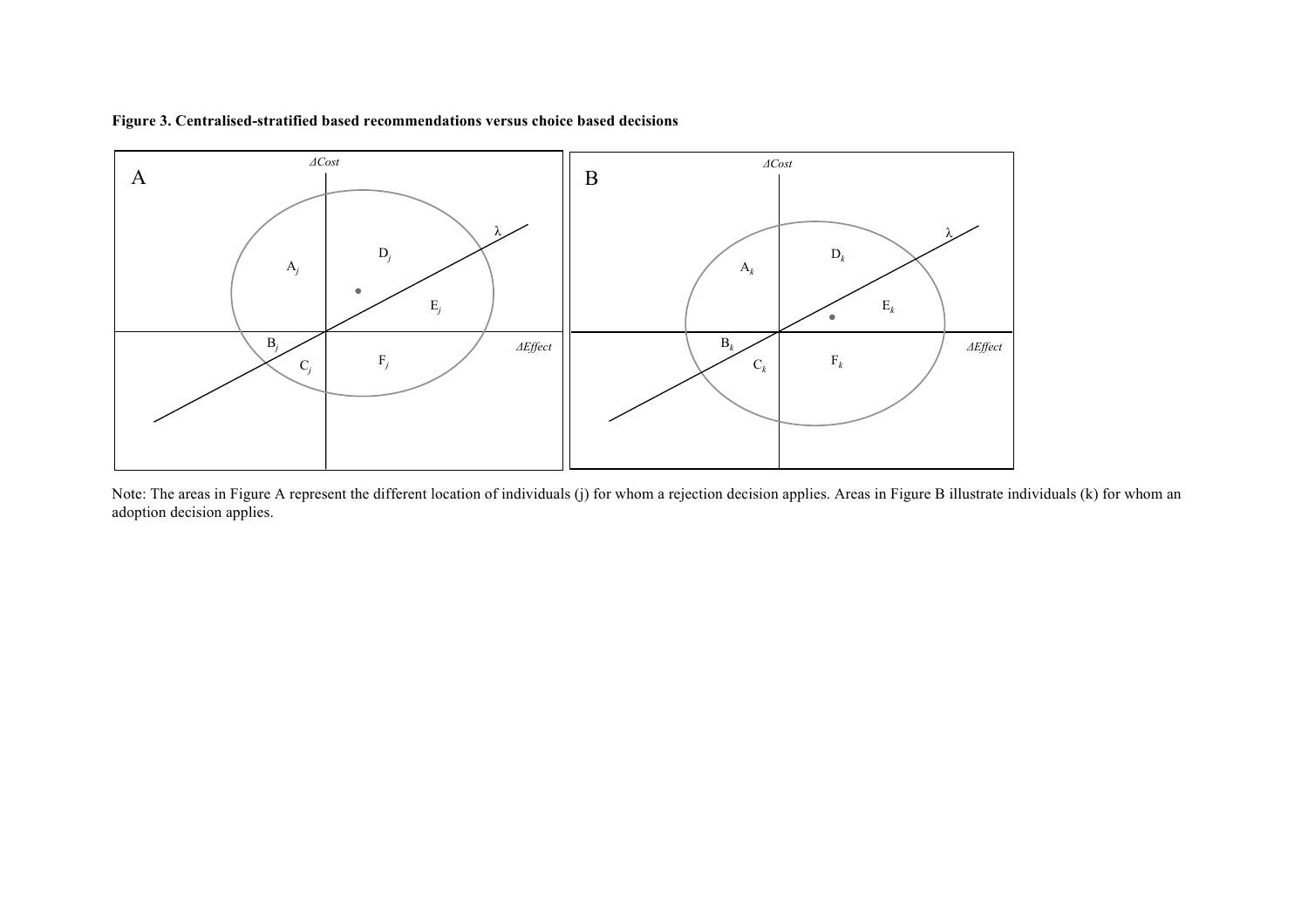



Note: The areas in Figure A represent the different location of individuals (j) for whom a rejection decision applies. Areas in Figure B illustrate individuals (k) for whom an adoption decision applies.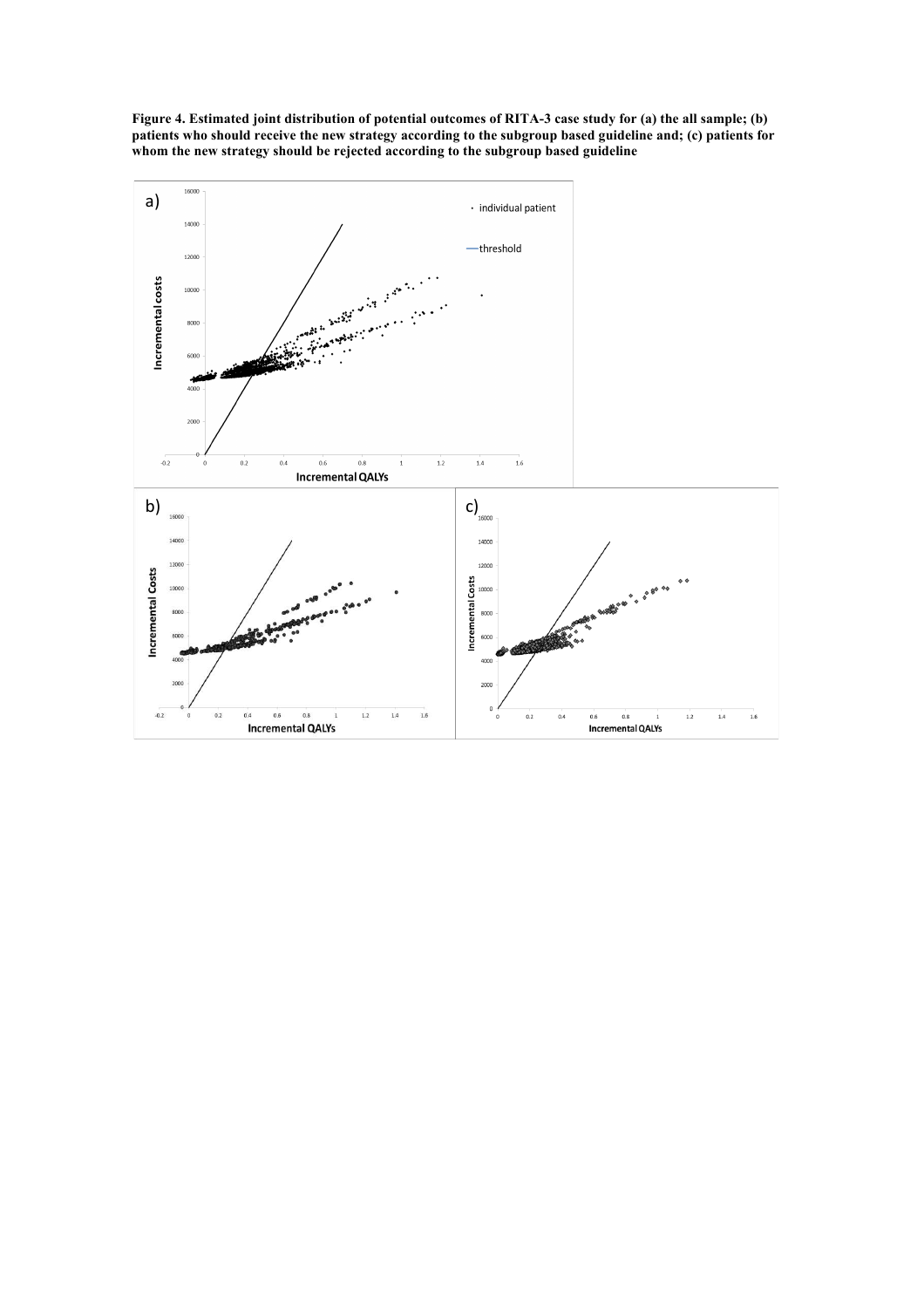